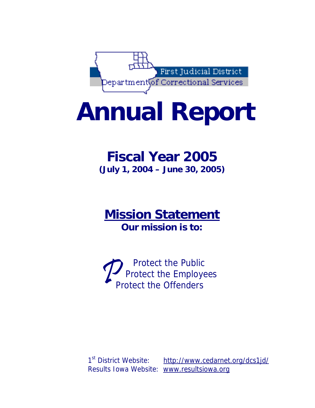

# **Annual Report**

# **Fiscal Year 2005 (July 1, 2004 – June 30, 2005)**

# **Mission Statement Our mission is to:**

Protect the Public<br>
Protect the Employees<br>
Protect the Offenders

1<sup>st</sup> District Website: http://www.cedarnet.org/dcs1jd/ Results Iowa Website: [www.resultsiowa.org](http://www.resultsiowa.org/)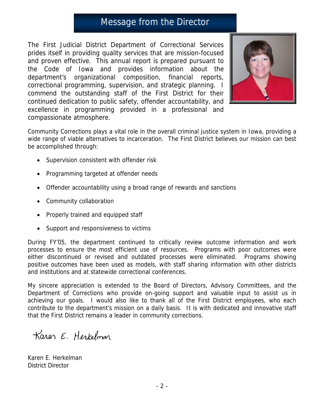## Message from the Director

The First Judicial District Department of Correctional Services prides itself in providing quality services that are mission-focused and proven effective. This annual report is prepared pursuant to the Code of Iowa and provides information about the department's organizational composition, financial reports, correctional programming, supervision, and strategic planning. I commend the outstanding staff of the First District for their continued dedication to public safety, offender accountability, and excellence in programming provided in a professional and compassionate atmosphere.



Community Corrections plays a vital role in the overall criminal justice system in Iowa, providing a wide range of viable alternatives to incarceration. The First District believes our mission can best be accomplished through:

- Supervision consistent with offender risk
- Programming targeted at offender needs
- Offender accountability using a broad range of rewards and sanctions
- Community collaboration
- Properly trained and equipped staff
- Support and responsiveness to victims

During FY'05, the department continued to critically review outcome information and work processes to ensure the most efficient use of resources. Programs with poor outcomes were either discontinued or revised and outdated processes were eliminated. Programs showing positive outcomes have been used as models, with staff sharing information with other districts and institutions and at statewide correctional conferences.

My sincere appreciation is extended to the Board of Directors, Advisory Committees, and the Department of Corrections who provide on-going support and valuable input to assist us in achieving our goals. I would also like to thank all of the First District employees, who each contribute to the department's mission on a daily basis. It is with dedicated and innovative staff that the First District remains a leader in community corrections.

Karen E. Herkelman

Karen E. Herkelman District Director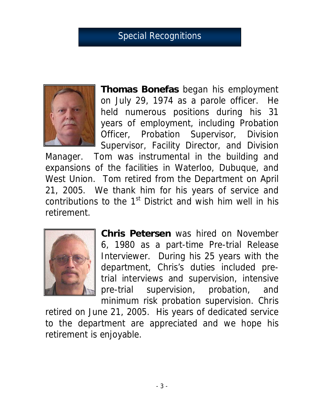# Special Recognitions



**Thomas Bonefas** began his employment on July 29, 1974 as a parole officer. He held numerous positions during his 31 years of employment, including Probation Officer, Probation Supervisor, Division Supervisor, Facility Director, and Division

Manager. Tom was instrumental in the building and expansions of the facilities in Waterloo, Dubuque, and West Union. Tom retired from the Department on April 21, 2005. We thank him for his years of service and contributions to the  $1<sup>st</sup>$  District and wish him well in his retirement.



**Chris Petersen** was hired on November 6, 1980 as a part-time Pre-trial Release Interviewer. During his 25 years with the department, Chris's duties included pretrial interviews and supervision, intensive pre-trial supervision, probation, and minimum risk probation supervision. Chris

retired on June 21, 2005. His years of dedicated service to the department are appreciated and we hope his retirement is enjoyable.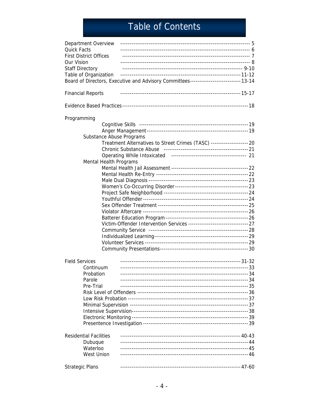# Table of Contents

| Department Overview<br><b>Quick Facts</b><br><b>First District Offices</b><br>Our Vision<br><b>Staff Directory</b><br>Table of Organization | Board of Directors, Executive and Advisory Committees--------------------------- 13-14 |  |
|---------------------------------------------------------------------------------------------------------------------------------------------|----------------------------------------------------------------------------------------|--|
| <b>Financial Reports</b>                                                                                                                    |                                                                                        |  |
|                                                                                                                                             |                                                                                        |  |
| Programming                                                                                                                                 |                                                                                        |  |
|                                                                                                                                             |                                                                                        |  |
|                                                                                                                                             |                                                                                        |  |
| Substance Abuse Programs                                                                                                                    |                                                                                        |  |
|                                                                                                                                             | Treatment Alternatives to Street Crimes (TASC) -------------------- 20                 |  |
|                                                                                                                                             |                                                                                        |  |
|                                                                                                                                             |                                                                                        |  |
| <b>Mental Health Programs</b>                                                                                                               |                                                                                        |  |
|                                                                                                                                             |                                                                                        |  |
|                                                                                                                                             |                                                                                        |  |
|                                                                                                                                             |                                                                                        |  |
|                                                                                                                                             |                                                                                        |  |
|                                                                                                                                             |                                                                                        |  |
|                                                                                                                                             |                                                                                        |  |
|                                                                                                                                             |                                                                                        |  |
|                                                                                                                                             |                                                                                        |  |
|                                                                                                                                             |                                                                                        |  |
|                                                                                                                                             |                                                                                        |  |
|                                                                                                                                             |                                                                                        |  |
|                                                                                                                                             |                                                                                        |  |
|                                                                                                                                             |                                                                                        |  |
|                                                                                                                                             |                                                                                        |  |
| <b>Field Services</b>                                                                                                                       |                                                                                        |  |
| Continuum                                                                                                                                   |                                                                                        |  |
| Probation                                                                                                                                   |                                                                                        |  |
| Parole                                                                                                                                      |                                                                                        |  |
| Pre-Trial                                                                                                                                   |                                                                                        |  |
|                                                                                                                                             |                                                                                        |  |
|                                                                                                                                             |                                                                                        |  |
|                                                                                                                                             |                                                                                        |  |
|                                                                                                                                             |                                                                                        |  |
|                                                                                                                                             |                                                                                        |  |
|                                                                                                                                             |                                                                                        |  |
|                                                                                                                                             |                                                                                        |  |
| <b>Residential Facilities</b>                                                                                                               |                                                                                        |  |
| Dubuque                                                                                                                                     |                                                                                        |  |
| Waterloo                                                                                                                                    |                                                                                        |  |
| <b>West Union</b>                                                                                                                           |                                                                                        |  |
| <b>Strategic Plans</b>                                                                                                                      |                                                                                        |  |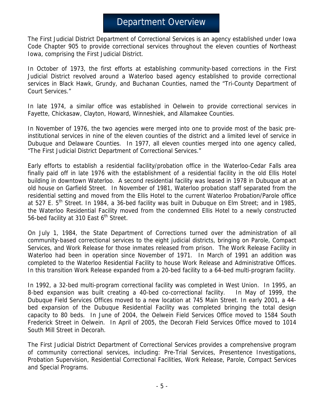## Department Overview

The First Judicial District Department of Correctional Services is an agency established under Iowa Code Chapter 905 to provide correctional services throughout the eleven counties of Northeast Iowa, comprising the First Judicial District.

In October of 1973, the first efforts at establishing community-based corrections in the First Judicial District revolved around a Waterloo based agency established to provide correctional services in Black Hawk, Grundy, and Buchanan Counties, named the "Tri-County Department of Court Services."

In late 1974, a similar office was established in Oelwein to provide correctional services in Fayette, Chickasaw, Clayton, Howard, Winneshiek, and Allamakee Counties.

In November of 1976, the two agencies were merged into one to provide most of the basic preinstitutional services in nine of the eleven counties of the district and a limited level of service in Dubuque and Delaware Counties. In 1977, all eleven counties merged into one agency called, "The First Judicial District Department of Correctional Services."

Early efforts to establish a residential facility/probation office in the Waterloo-Cedar Falls area finally paid off in late 1976 with the establishment of a residential facility in the old Ellis Hotel building in downtown Waterloo. A second residential facility was leased in 1978 in Dubuque at an old house on Garfield Street. In November of 1981, Waterloo probation staff separated from the residential setting and moved from the Ellis Hotel to the current Waterloo Probation/Parole office at 527 E.  $5<sup>th</sup>$  Street. In 1984, a 36-bed facility was built in Dubuque on Elm Street; and in 1985, the Waterloo Residential Facility moved from the condemned Ellis Hotel to a newly constructed 56-bed facility at 310 East  $6<sup>th</sup>$  Street.

On July 1, 1984, the State Department of Corrections turned over the administration of all community-based correctional services to the eight judicial districts, bringing on Parole, Compact Services, and Work Release for those inmates released from prison. The Work Release Facility in Waterloo had been in operation since November of 1971. In March of 1991 an addition was completed to the Waterloo Residential Facility to house Work Release and Administrative Offices. In this transition Work Release expanded from a 20-bed facility to a 64-bed multi-program facility.

In 1992, a 32-bed multi-program correctional facility was completed in West Union. In 1995, an 8-bed expansion was built creating a 40-bed co-correctional facility. In May of 1999, the Dubuque Field Services Offices moved to a new location at 745 Main Street. In early 2001, a 44 bed expansion of the Dubuque Residential Facility was completed bringing the total design capacity to 80 beds. In June of 2004, the Oelwein Field Services Office moved to 1584 South Frederick Street in Oelwein. In April of 2005, the Decorah Field Services Office moved to 1014 South Mill Street in Decorah.

The First Judicial District Department of Correctional Services provides a comprehensive program of community correctional services, including: Pre-Trial Services, Presentence Investigations, Probation Supervision, Residential Correctional Facilities, Work Release, Parole, Compact Services and Special Programs.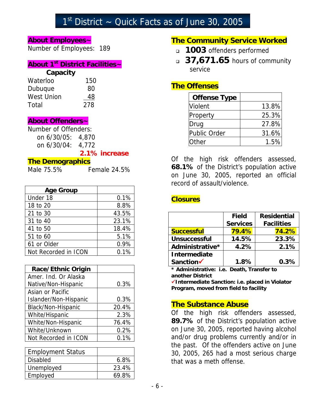# $1<sup>st</sup>$  District ~ Quick Facts as of June 30, 2005

#### **About Employees~**

Number of Employees: 189

## **About 1st District Facilities~**

#### **Capacity**

| 150 |
|-----|
| 80  |
| 48  |
| 278 |
|     |

#### **About Offenders~**

| Number of Offenders: |  |  |  |
|----------------------|--|--|--|
| on 6/30/05: 4.870    |  |  |  |
| on 6/30/04: 4,772    |  |  |  |
|                      |  |  |  |

#### **2.1% increase**

#### **The Demographics**

Male 75.5% Female 24.5%

| <b>Age Group</b>     |       |
|----------------------|-------|
| Under 18             | 0.1%  |
| 18 to 20             | 8.8%  |
| 21 to 30             | 43.5% |
| 31 to 40             | 23.1% |
| 41 to 50             | 18.4% |
| 51 to 60             | 5.1%  |
| 61 or Older          | 0.9%  |
| Not Recorded in ICON | 0.1%  |

| <b>Race/Ethnic Origin</b> |       |
|---------------------------|-------|
| Amer. Ind. Or Alaska      |       |
| Native/Non-Hispanic       | 0.3%  |
| Asian or Pacific          |       |
| Islander/Non-Hispanic     | 0.3%  |
| Black/Non-Hispanic        | 20.4% |
| White/Hispanic            | 2.3%  |
| White/Non-Hispanic        | 76.4% |
| White/Unknown             | 0.2%  |
| Not Recorded in ICON      | 0.1%  |

| <b>Employment Status</b> |       |
|--------------------------|-------|
| <b>Disabled</b>          | 6.8%  |
| Unemployed               | 23.4% |
| Employed                 | 69.8% |

#### **The Community Service Worked**

- **1003** offenders performed
- **37,671.65** hours of community service

#### **The Offenses**

| <b>Offense Type</b> |       |
|---------------------|-------|
| <b>Violent</b>      | 13.8% |
| Property            | 25.3% |
| Drug                | 27.8% |
| Public Order        | 31.6% |
| Other               | 1.5%  |

Of the high risk offenders assessed, **68.1%** of the District's population active on June 30, 2005, reported an official record of assault/violence.

#### **Closures**

|                     | <b>Field</b>    | <b>Residential</b> |  |
|---------------------|-----------------|--------------------|--|
|                     | <b>Services</b> | <b>Facilities</b>  |  |
| <b>Successful</b>   | 79.4%           | 74.2%              |  |
| <b>Unsuccessful</b> | 14.5%           | 23.3%              |  |
| Administrative*     | 4.2%            | 2.1%               |  |
| Intermediate        |                 |                    |  |
| Sanction            | 1.8%            | 0.3%               |  |

**\* Administrative: i.e. Death, Transfer to another District** 

9**Intermediate Sanction: i.e. placed in Violator Program, moved from field to facility** 

#### **The Substance Abuse**

Of the high risk offenders assessed, **89.7%** of the District's population active on June 30, 2005, reported having alcohol and/or drug problems currently and/or in the past. Of the offenders active on June 30, 2005, 265 had a most serious charge that was a meth offense.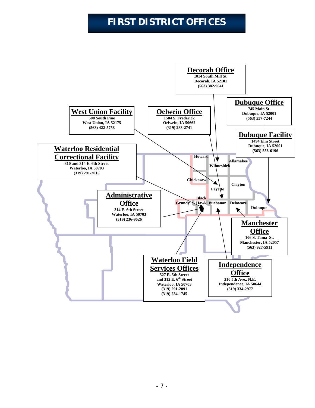# **FIRST DISTRICT OFFICES**

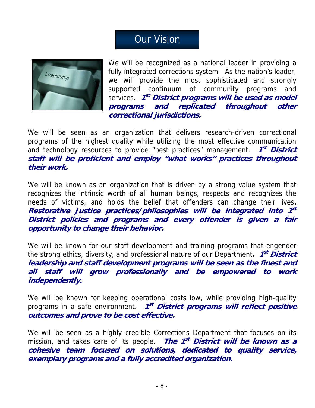# **Our Vision**



We will be recognized as a national leader in providing a fully integrated corrections system. As the nation's leader, we will provide the most sophisticated and strongly supported continuum of community programs and services. **1st District programs will be used as model programs and replicated throughout other correctional jurisdictions.**

We will be seen as an organization that delivers research-driven correctional programs of the highest quality while utilizing the most effective communication and technology resources to provide "best practices" management. **1<sup>st</sup> District staff will be proficient and employ "what works" practices throughout their work.** 

We will be known as an organization that is driven by a strong value system that recognizes the intrinsic worth of all human beings, respects and recognizes the needs of victims, and holds the belief that offenders can change their lives**. Restorative Justice practices/philosophies will be integrated into 1st District policies and programs and every offender is given a fair opportunity to change their behavior.** 

We will be known for our staff development and training programs that engender the strong ethics, diversity, and professional nature of our Department. **1<sup>st</sup> District leadership and staff development programs will be seen as the finest and all staff will grow professionally and be empowered to work independently.** 

We will be known for keeping operational costs low, while providing high-quality programs in a safe environment. **1<sup>st</sup> District programs will reflect positive outcomes and prove to be cost effective.** 

We will be seen as a highly credible Corrections Department that focuses on its mission, and takes care of its people. **The 1st District will be known as a cohesive team focused on solutions, dedicated to quality service, exemplary programs and a fully accredited organization.**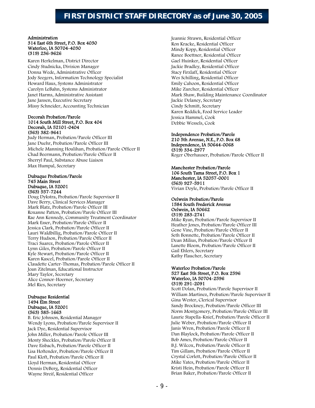## **FIRST DISTRICT STAFF DIRECTORY as of June 30, 2005**

#### Administration 314 East 6th Street, P.O. Box 4030 Waterloo, IA 50704-4030 (319) 236-9626

Karen Herkelman, District Director Cindy Studnicka, Division Manager Donna Wede, Administrative Officer Jody Seegers, Information Technology Specialist Howard Haus, Systems Administrator Carolyn LeBahn, Systems Administrator Janet Harms, Administrative Assistant Jane Jansen, Executive Secretary Missy Schneider, Accounting Technician

#### Decorah Probation/Parole 1014 South Mill Street, P.O. Box 404 Decorah, IA 52101-0404 (563) 382-9641

Judy Herman, Probation/Parole Officer III Jane Duehr, Probation/Parole Officer III Michele Manning Houlihan, Probation/Parole Officer II Chad Beermann, Probation/Parole Officer II Sherryl Paul, Substance Abuse Liaison Max Humpal, Secretary

#### Dubuque Probation/Parole 745 Main Street Dubuque, IA 52001 (563) 557-7244

Doug Dykstra, Probation/Parole Supervisor II Dave Berry, Clinical Services Manager Mark Blatz, Probation/Parole Officer III Roxanne Patton, Probation/Parole Officer III Rae Ann Kennedy, Community Treatment Coordinator Mark Esser, Probation/Parole Officer II Jessica Clark, Probation/Parole Officer II Lauri Waldbillig, Probation/Parole Officer II Terry Hudson, Probation/Parole Officer II Traci Suarez, Probation/Parole Officer II Lynn Giles, Probation/Parole Officer II Kyle Stewart, Probation/Parole Officer II Karen Kascel, Probation/Parole Officer II Claudette Carter-Thomas, Probation/Parole Officer II Joan Zitelman, Educational Instructor Mary Taylor, Secretary Alice Connor-Hoerner, Secretary Mel Ries, Secretary

#### Dubuque Residential 1494 Elm Street Dubuque, IA 52001 (563) 585-1663

B. Eric Johnson, Residential Manager Wendy Lyons, Probation/Parole Supervisor II Jack Dye, Residential Supervisor John Miller, Probation/Parole Officer III Monty Sheckles, Probation/Parole Officer II Dave Eisbach, Probation/Parole Officer II Lisa Hoftender, Probation/Parole Officer II Paul Kloft, Probation/Parole Officer II Lloyd Herman, Residential Officer Dennis DeBerg, Residential Officer Wayne Streif, Residential Officer

Jeannie Strawn, Residential Officer Ron Kracke, Residential Officer Mindy Kopp, Residential Officer Ranee Boettner, Residential Officer Gael Huinker, Residential Officer Jackie Bradley, Residential Officer Stacy Firzlaff, Residential Officer Wes Schilling, Residential Officer Emily Cahoon, Residential Officer Mike Zurcher, Residential Officer Mark Shaw, Building Maintenance Coordinator Jackie Delaney, Secretary Cindy Schmitt, Secretary Karen Reddick, Food Service Leader Jessica Hammel, Cook Debbie Wessels, Cook

#### Independence Probation/Parole

210 5th Avenue, N.E., P.O. Box 68 Independence, IA 50644-0068 (319) 334-2977 Roger Oberhauser, Probation/Parole Officer II

#### Manchester Probation/Parole 106 South Tama Street, P.O. Box 1 Manchester, IA 52057-0001 (563) 927-5911 Vivian Doyle, Probation/Parole Officer II

#### Oelwein Probation/Parole 1584 South Frederick Avenue Oelwein, IA 50662 (319) 283-2741

Mike Ryan, Probation/Parole Supervisor II Heather Jones, Probation/Parole Officer III Gene Vine, Probation/Parole Officer II Seth Bonnette, Probation/Parole Officer II Dean Milius, Probation/Parole Officer II Lanette Bloem, Probation/Parole Officer II Gail Ehlers, Secretary Kathy Flaucher, Secretary

#### Waterloo Probation/Parole 527 East 5th Street, P.O. Box 2596 Waterloo, IA 50704-2596 (319) 291-2091

Scott Dolan, Probation/Parole Supervisor II William Martinez, Probation/Parole Supervisor II Gina Wester, Clerical Supervisor Sandy Brockney, Probation/Parole Officer III Norm Montgomery, Probation/Parole Officer III Laurie Stapella-Knief, Probation/Parole Officer II Julie Weber, Probation/Parole Officer II Janis Wren, Probation/Parole Officer II Dan Blaylock, Probation/Parole Officer II Bob Ames, Probation/Parole Officer II B.J. Wilcox, Probation/Parole Officer II Tim Gillam, Probation/Parole Officer II Crystal Corlett, Probation/Parole Officer II Mike Yates, Probation/Parole Officer II Kristi Hein, Probation/Parole Officer II Brian Baker, Probation/Parole Officer II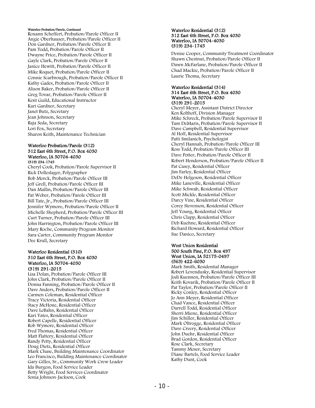#### Waterloo Probation/Parole, Continued

Roxann Scheffert, Probation/Parole Officer II Angie Oberhauser, Probation/Parole Officer II Don Gardner, Probation/Parole Officer II Pam Todd, Probation/Parole Officer II Dwayne Price, Probation/Parole Officer II Gayle Clark, Probation/Parole Officer II Janice Hewitt, Probation/Parole Officer II Mike Roquet, Probation/Parole Officer II Connie Scarbrough, Probation/Parole Officer II Kathy Gades, Probation/Parole Officer II Alison Baker, Probation/Parole Officer II Greg Tovar, Probation/Parole Officer II Kent Guild, Educational Instructor Kari Gardner, Secretary Janet Butz, Secretary Jean Johnson, Secretary Raja Seda, Secretary Lori Fox, Secretary Sharon Keith, Maintenance Technician

#### Waterloo Probation/Parole (312) 312 East 6th Street, P.O. Box 4030 Waterloo, IA 50704-4030 (319) 234-1745

Cheryl Cook, Probation/Parole Supervisor II Rick Dolleslager, Polygrapher Bob Morck, Probation/Parole Officer III Jeff Grell, Probation/Parole Officer III Dan Mallin, Probation/Parole Officer III Pat Weber, Probation/Parole Officer III Bill Tate, Jr., Probation/Parole Officer III Jennifer Wymore, Probation/Parole Officer II Michelle Shepherd, Probation/Parole Officer III Curt Turner, Probation/Parole Officer III John Harrington, Probation/Parole Officer III Mary Roche, Community Program Monitor Sara Carter, Community Program Monitor Dee Krull, Secretary

#### Waterloo Residential (310) 310 East 6th Street, P.O. Box 4030 Waterloo, IA 50704-4030 (319) 291-2015

Lisa Dolan, Probation/Parole Officer III John Clark, Probation/Parole Officer II Donna Fanning, Probation/Parole Officer II Dave Anders, Probation/Parole Officer II Carmen Coleman, Residential Officer Tracy Victoria, Residential Officer Stacy McHone, Residential Officer Dave LeBahn, Residential Officer Kari Yates, Residential Officer Robert Capelle, Residential Officer Rob Wymore, Residential Officer Fred Thomas, Residential Officer Matt Flattery, Residential Officer Randy Petty, Residential Officer Doug Dietz, Residential Officer Mark Chase, Building Maintenance Coordinator Leo Francisco, Building Maintenance Coordinator Gary Gilles, Sr., Community Work Crew Leader Ida Burgess, Food Service Leader Betty Wright, Food Services Coordinator Sonia Johnson-Jackson, Cook

#### Waterloo Residential (312) 312 East 6th Street, P.O. Box 4030 Waterloo, IA 50704-4030 (319) 234-1745

Denise Cooper, Community Treatment Coordinator Shawn Chestnut, Probation/Parole Officer II Dawn McFarlane, Probation/Parole Officer II Chad Mackie, Probation/Parole Officer II Laurie Thoma, Secretary

#### Waterloo Residential (314) 314 East 6th Street, P.O. Box 4030 Waterloo, IA 50704-4030 (319) 291-2015

Cheryl Meyer, Assistant District Director Ken Kolthoff, Division Manager Mike Schreck, Probation/Parole Supervisor II Tam DeMaris, Probation/Parole Supervisor II Dave Campbell, Residential Supervisor Al Hoff, Residential Supervisor Patti Smilanich, Psychologist Cheryl Hannah, Probation/Parole Officer III Ross Todd, Probation/Parole Officer III Dave Potter, Probation/Parole Officer II Robert Henderson, Probation/Parole Officer II Pat Casey, Residential Officer Jim Farley, Residential Officer DeDe Helgeson, Residential Officer Mike Laneville, Residential Officer Mike Schwab, Residential Officer Scott Mickle, Residential Officer Darcy Vine, Residential Officer Corey Stevenson, Residential Officer Jeff Young, Residential Officer Chris Clapp, Residential Officer Deb Kuehne, Residential Officer Richard Howard, Residential Officer Sue Danico, Secretary

#### West Union Residential 500 South Pine, P.O. Box 497 West Union, IA 52175-0497 (563) 422-6030

Mark Smith, Residential Manager Robert Levendusky, Residential Supervisor Jodi Kuennen, Probation/Parole Officer III Keith Kovarik, Probation/Parole Officer II Pat Taylor, Probation/Parole Officer II Ricky Conley, Residential Officer Jo Ann Meyer, Residential Officer Chad Vance, Residential Officer Darrell Todd, Residential Officer Sherri Miene, Residential Officer Jim Schiller, Residential Officer Mark Oltrogge, Residential Officer Dave Creery, Residential Officer John Duehr, Residential Officer Brad Gordon, Residential Officer Rose Clark, Secretary Tammy Moser, Secretary Diane Bartels, Food Service Leader Kathy Dunt, Cook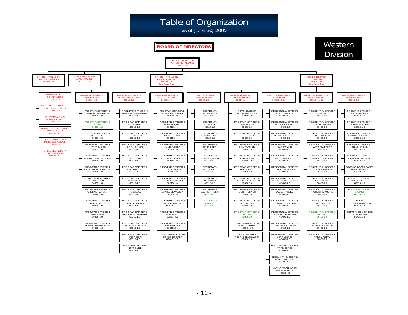

- 11 -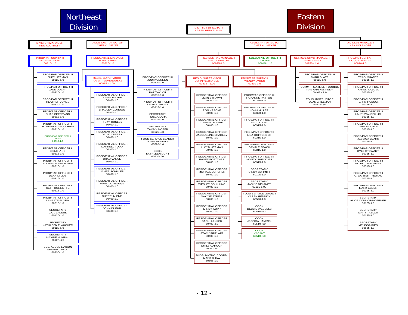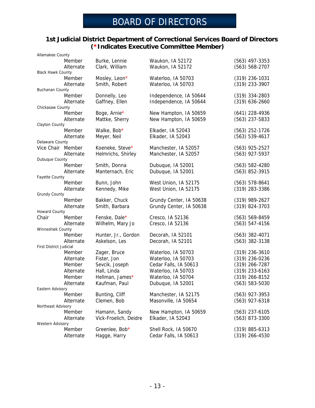## BOARD OF DIRECTORS

#### **1st Judicial District Department of Correctional Services Board of Directors (\*Indicates Executive Committee Member)**

|                          | Member              | Burke, Lennie                    | Waukon, IA 52172        | $(563)$ 497-3353   |
|--------------------------|---------------------|----------------------------------|-------------------------|--------------------|
|                          | Alternate           | Clark, William                   | Waukon, IA 52172        | (563) 568-2707     |
| <b>Black Hawk County</b> | Member              |                                  | Waterloo, IA 50703      | (319) 236-1031     |
|                          | Alternate           | Mosley, Leon*<br>Smith, Robert   | Waterloo, IA 50703      | (319) 233-3907     |
| <b>Buchanan County</b>   |                     |                                  |                         |                    |
|                          | Member              | Donnelly, Leo                    | Independence, IA 50644  | $(319)$ 334-2803   |
|                          | Alternate           | Gaffney, Ellen                   | Independence, IA 50644  | $(319)$ 636-2660   |
| Chickasaw County         |                     |                                  |                         |                    |
|                          | Member              | Boge, Arnie*                     | New Hampton, IA 50659   | $(641)$ 228-4936   |
|                          | Alternate           | Mattke, Sherry                   | New Hampton, IA 50659   | $(563)$ 237-5833   |
| Clayton County           |                     |                                  |                         |                    |
|                          | Member              | Walke, Bob*                      | Elkader, IA 52043       | $(563)$ 252-1726   |
|                          | Alternate           | Meyer, Neil                      | Elkader, IA 52043       | $(563) 539-4617$   |
| Delaware County          |                     |                                  |                         |                    |
| Vice Chair Member        |                     | Koeneke, Steve*                  | Manchester, IA 52057    | $(563)$ 925-2527   |
|                          | Alternate           | Helmrichs, Shirley               | Manchester, IA 52057    | $(563)$ 927-5937   |
| Dubuque County           | Member              |                                  |                         |                    |
|                          |                     | Smith, Donna<br>Manternach, Eric | Dubuque, IA 52001       | $(563) 582 - 4280$ |
| Fayette County           | Alternate           |                                  | Dubuque, IA 52001       | $(563)$ 852-3915   |
|                          | Member              | Bunn, John                       | West Union, IA 52175    | $(563) 578-8641$   |
|                          | Alternate           | Kennedy, Mike                    | West Union, IA 52175    | (319) 283-3386     |
| <b>Grundy County</b>     |                     |                                  |                         |                    |
|                          | Member              | Bakker, Chuck                    | Grundy Center, IA 50638 | $(319)$ 989-2627   |
|                          | Alternate           | Smith, Barbara                   | Grundy Center, IA 50638 | (319) 824-3703     |
| <b>Howard County</b>     |                     |                                  |                         |                    |
| Chair                    | Member              | Fenske, Dale*                    | Cresco, IA 52136        | $(563) 569 - 8459$ |
|                          | Alternate           | Wilhelm, Mary Jo                 | Cresco, IA 52136        | $(563) 547 - 4156$ |
| Winneshiek County        |                     |                                  |                         |                    |
|                          | Member              | Hunter, Jr., Gordon              | Decorah, IA 52101       | $(563)$ 382-4071   |
|                          | Alternate           | Askelson, Les                    | Decorah, IA 52101       | $(563)$ 382-3138   |
| First District Judicial  |                     |                                  |                         |                    |
|                          | Member              | Zager, Bruce                     | Waterloo, IA 50703      | $(319)$ 236-3610   |
|                          | Alternate           | Fister, Jon                      | Waterloo, IA 50703      | $(319)$ 236-0236   |
|                          | Member<br>Alternate | Sevcik, Joseph                   | Cedar Falls, IA 50613   | $(319)$ 266-7287   |
|                          |                     | Hall, Linda                      | Waterloo, IA 50703      | $(319)$ 233-6163   |
|                          | Member              | Hellman, James*                  | Waterloo, IA 50704      | $(319)$ 266-8152   |
| Eastern Advisory         | Alternate           | Kaufman, Paul                    | Dubuque, IA 52001       | $(563) 583 - 5030$ |
|                          | Member              | Bunting, Cliff                   | Manchester, IA 52175    | $(563)$ 927-3953   |
|                          | Alternate           | Clemen, Bob                      | Masonville, IA 50654    | $(563)$ 927-6318   |
| Northeast Advisory       |                     |                                  |                         |                    |
|                          | Member              | Hamann, Sandy                    | New Hampton, IA 50659   | $(563)$ 237-6105   |
|                          | Alternate           | Vick-Froelich, Deidre            | Elkader, IA 52043       | (563) 873-3300     |
| Western Advisory         |                     |                                  |                         |                    |
|                          | Member              | Greenlee, Bob*                   | Shell Rock, IA 50670    | $(319) 885 - 6313$ |
|                          | Alternate           | Hagge, Harry                     | Cedar Falls, IA 50613   | $(319)$ 266-4530   |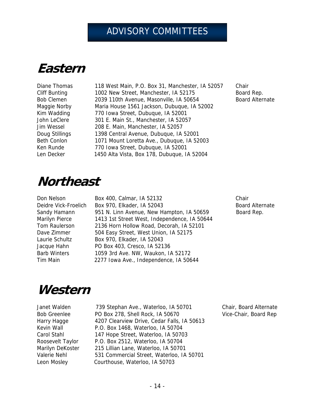# ADVISORY COMMITTEES

# **Eastern**

Diane Thomas 118 West Main, P.O. Box 31, Manchester, IA 52057 Chair Cliff Bunting 1002 New Street, Manchester, IA 52175 Board Rep. Bob Clemen 2039 110th Avenue, Masonville, IA 50654 Board Alternate Maggie Norby Maria House 1561 Jackson, Dubuque, IA 52002 Kim Wadding 770 Iowa Street, Dubuque, IA 52001 John LeClere 301 E. Main St., Manchester, IA 52057 Jim Wessel 208 E. Main, Manchester, IA 52057 Doug Stillings 1398 Central Avenue, Dubuque, IA 52001 Beth Conlon 1071 Mount Loretta Ave., Dubuque, IA 52003 Ken Runde 770 Iowa Street, Dubuque, IA 52001 Len Decker 1450 Alta Vista, Box 178, Dubuque, IA 52004

# **Northeast**

Don Nelson Box 400, Calmar, IA 52132 Chair Deidre Vick-Froelich Box 970, Elkader, IA 52043 Board Alternate Sandy Hamann 951 N. Linn Avenue, New Hampton, IA 50659 Board Rep. Marilyn Pierce 1413 1st Street West, Independence, IA 50644 Tom Raulerson 2136 Horn Hollow Road, Decorah, IA 52101 Dave Zimmer 504 Easy Street, West Union, IA 52175 Laurie Schultz Box 970, Elkader, IA 52043 Jacque Hahn PO Box 403, Cresco, IA 52136 Barb Winters 1059 3rd Ave. NW, Waukon, IA 52172 Tim Main 2277 Iowa Ave., Independence, IA 50644

# **Western**

| Janet Walden        |
|---------------------|
| <b>Bob Greenlee</b> |
| Harry Hagge         |
| Kevin Wall          |
| Carol Stahl         |
| Roosevelt Taylor    |
| Marilyn DeKoster    |
| Valerie Nehl        |
| Leon Mosley         |

t Walden 739 Stephan Ave., Waterloo, IA 50701 Chair, Board Alternate PO Box 278, Shell Rock, IA 50670 Vice-Chair, Board Rep 4207 Clearview Drive, Cedar Falls, IA 50613 P.O. Box 1468, Waterloo, IA 50704 147 Hope Street, Waterloo, IA 50703 P.O. Box 2512, Waterloo, IA 50704 215 Lillian Lane, Waterloo, IA 50701 531 Commercial Street, Waterloo, IA 50701 Courthouse, Waterloo, IA 50703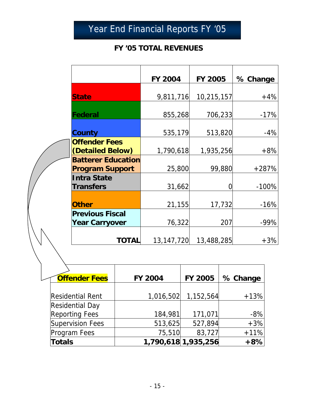# Year End Financial Reports FY '05

## **FY '05 TOTAL REVENUES**

|                                                     | <b>FY 2004</b> | FY 2005    | % Change |
|-----------------------------------------------------|----------------|------------|----------|
| <b>State</b>                                        | 9,811,716      | 10,215,157 | $+4%$    |
| Federal                                             | 855,268        | 706,233    | $-17%$   |
| <b>County</b>                                       | 535,179        | 513,820    | $-4%$    |
| <b>Offender Fees</b><br>(Detailed Below)            | 1,790,618      | 1,935,256  | $+8%$    |
| <b>Batterer Education</b><br><b>Program Support</b> | 25,800         | 99,880     | $+287%$  |
| <b>Intra State</b><br><b>Transfers</b>              | 31,662         |            | $-100%$  |
| <b>Other</b>                                        | 21,155         | 17,732     | $-16%$   |
| <b>Previous Fiscal</b><br><b>Year Carryover</b>     | 76,322         | 207        | $-99%$   |
| TOTAI                                               | 13, 147, 720   | 13,488,285 | $+3%$    |

| <b>Offender Fees</b>    | <b>FY 2004</b> | <b>FY 2005</b>      | % Change |
|-------------------------|----------------|---------------------|----------|
|                         |                |                     |          |
| <b>Residential Rent</b> |                | 1,016,502 1,152,564 | $+13%$   |
| <b>Residential Day</b>  |                |                     |          |
| <b>Reporting Fees</b>   | 184,981        | 171,071             | $-8%$    |
| <b>Supervision Fees</b> | 513,625        | 527,894             | $+3%$    |
| Program Fees            | 75,510         | 83,727              | $+11%$   |
| <b>Totals</b>           |                | 1,790,618 1,935,256 | $+8%$    |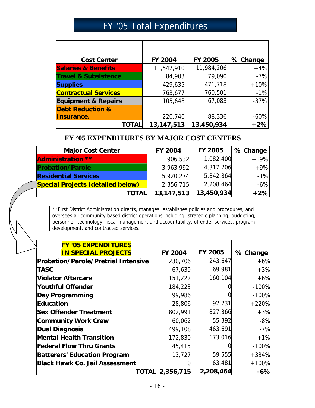# FY '05 Total Expenditures

| <b>Cost Center</b>              | <b>FY 2004</b> | <b>FY 2005</b> | % Change |
|---------------------------------|----------------|----------------|----------|
| <b>Salaries &amp; Benefits</b>  | 11,542,910     | 11,984,206     | $+4%$    |
| <b>Travel &amp; Subsistence</b> | 84,903         | 79,090         | $-7%$    |
| <b>Supplies</b>                 | 429,635        | 471,718        | $+10%$   |
| <b>Contractual Services</b>     | 763,677        | 760,501        | $-1%$    |
| <b>Equipment &amp; Repairs</b>  | 105,648        | 67,083         | $-37%$   |
| <b>Debt Reduction &amp;</b>     |                |                |          |
| Insurance.                      | 220,740        | 88,336         | $-60%$   |
| TOTAL                           | 13, 147, 513   | 13,450,934     | $+2%$    |

#### **FY '05 EXPENDITURES BY MAJOR COST CENTERS**

| <b>Major Cost Center</b>                 | <b>FY 2004</b> | <b>FY 2005</b> | % Change |
|------------------------------------------|----------------|----------------|----------|
| <b>Administration **</b>                 | 906,532        | 1,082,400      | $+19%$   |
| <b>Probation/Parole</b>                  | 3,963,992      | 4,317,206      | $+9%$    |
| <b>Residential Services</b>              | 5,920,274      | 5,842,864      | $-1%$    |
| <b>Special Projects (detailed below)</b> | 2,356,715      | 2,208,464      | $-6\%$   |
| <b>TOTAL</b>                             | 13, 147, 513   | 13,450,934     | $+2%$    |

\*\*First District Administration directs, manages, establishes policies and procedures, and oversees all community based district operations including: strategic planning, budgeting, personnel, technology, fiscal management and accountability, offender services, program development, and contracted services.

| <b>FY '05 EXPENDITURES</b>                 |                |           |          |
|--------------------------------------------|----------------|-----------|----------|
| <b>IN SPECIAL PROJECTS</b>                 | <b>FY 2004</b> | FY 2005   | % Change |
| <b>Probation/Parole/Pretrial Intensive</b> | 230,706        | 243,647   | $+6%$    |
| <b>TASC</b>                                | 67,639         | 69,981    | $+3%$    |
| <b>Violator Aftercare</b>                  | 151,222        | 160,104   | $+6%$    |
| <b>Youthful Offender</b>                   | 184,223        |           | $-100%$  |
| Day Programming                            | 99,986         |           | $-100%$  |
| Education                                  | 28,806         | 92,231    | $+220%$  |
| <b>Sex Offender Treatment</b>              | 802,991        | 827,366   | $+3%$    |
| <b>Community Work Crew</b>                 | 60,062         | 55,392    | $-8%$    |
| <b>Dual Diagnosis</b>                      | 499,108        | 463,691   | $-7%$    |
| <b>Mental Health Transition</b>            | 172,830        | 173,016   | $+1%$    |
| <b>Federal Flow Thru Grants</b>            | 45,415         |           | $-100%$  |
| <b>Batterers' Education Program</b>        | 13,727         | 59,555    | $+334%$  |
| <b>Black Hawk Co. Jail Assessment</b>      | 0              | 63,481    | $+100%$  |
| TOTALI                                     | 2,356,715      | 2,208,464 | $-6%$    |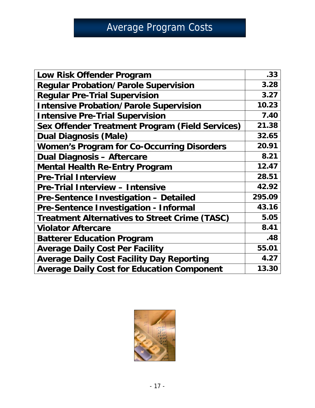# Average Program Costs

| Low Risk Offender Program                              | .33    |
|--------------------------------------------------------|--------|
| <b>Regular Probation/Parole Supervision</b>            | 3.28   |
| <b>Regular Pre-Trial Supervision</b>                   | 3.27   |
| <b>Intensive Probation/Parole Supervision</b>          | 10.23  |
| <b>Intensive Pre-Trial Supervision</b>                 | 7.40   |
| <b>Sex Offender Treatment Program (Field Services)</b> | 21.38  |
| <b>Dual Diagnosis (Male)</b>                           | 32.65  |
| <b>Women's Program for Co-Occurring Disorders</b>      | 20.91  |
| <b>Dual Diagnosis - Aftercare</b>                      | 8.21   |
| <b>Mental Health Re-Entry Program</b>                  | 12.47  |
| <b>Pre-Trial Interview</b>                             | 28.51  |
| <b>Pre-Trial Interview - Intensive</b>                 | 42.92  |
| <b>Pre-Sentence Investigation - Detailed</b>           | 295.09 |
| Pre-Sentence Investigation - Informal                  | 43.16  |
| <b>Treatment Alternatives to Street Crime (TASC)</b>   | 5.05   |
| <b>Violator Aftercare</b>                              | 8.41   |
| <b>Batterer Education Program</b>                      | .48    |
| <b>Average Daily Cost Per Facility</b>                 | 55.01  |
| <b>Average Daily Cost Facility Day Reporting</b>       | 4.27   |
| <b>Average Daily Cost for Education Component</b>      | 13.30  |

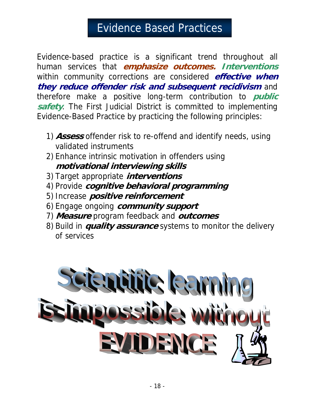# Evidence Based Practices

Evidence-based practice is a significant trend throughout all human services that **emphasize outcomes. Interventions** within community corrections are considered **effective when they reduce offender risk and subsequent recidivism** and therefore make a positive long-term contribution to **public safety**. The First Judicial District is committed to implementing Evidence-Based Practice by practicing the following principles:

- 1) **Assess** offender risk to re-offend and identify needs, using validated instruments
- 2) Enhance intrinsic motivation in offenders using **motivational interviewing skills**
- 3) Target appropriate **interventions**
- 4) Provide **cognitive behavioral programming**
- 5) Increase **positive reinforcement**
- 6) Engage ongoing **community support**
- 7) **Measure** program feedback and **outcomes**
- 8) Build in **quality assurance** systems to monitor the delivery of services

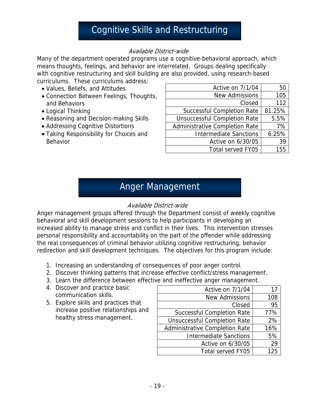# Cognitive Skills and Restructuring

#### Available District-wide

Many of the department-operated programs use a cognitive-behavioral approach, which means thoughts, feelings, and behavior are interrelated. Groups dealing specifically with cognitive restructuring and skill building are also provided, using research-based curriculums. These curriculums address:

- Values, Beliefs, and Attitudes
- Connection Between Feelings, Thoughts, and Behaviors
- Logical Thinking
- Reasoning and Decision-making Skills
- Addressing Cognitive Distortions
- Taking Responsibility for Choices and Behavior

| Active on 7/1/04                    | 50     |
|-------------------------------------|--------|
| <b>New Admissions</b>               | 105    |
| Closed                              | 112    |
| <b>Successful Completion Rate</b>   | 81.25% |
| <b>Unsuccessful Completion Rate</b> | 5.5%   |
| Administrative Completion Rate      | 7%     |
| <b>Intermediate Sanctions</b>       | 6.25%  |
| Active on 6/30/05                   | 39     |
| Total served FY05                   | 155    |

## Anger Management

#### Available District-wide

Anger management groups offered through the Department consist of weekly cognitive behavioral and skill development sessions to help participants in developing an increased ability to manage stress and conflict in their lives. This intervention stresses personal responsibility and accountability on the part of the offender while addressing the real consequences of criminal behavior utilizing cognitive restructuring, behavior redirection and skill development techniques. The objectives for this program include:

- 1. Increasing an understanding of consequences of poor anger control.
- 2. Discover thinking patterns that increase effective conflict/stress management.
- 3. Learn the difference between effective and ineffective anger management.
- 4. Discover and practice basic communication skills.
- 5. Explore skills and practices that increase positive relationships and healthy stress management.

| Active on 7/1/04                    | 17  |
|-------------------------------------|-----|
| <b>New Admissions</b>               | 108 |
| Closed                              | 95  |
| <b>Successful Completion Rate</b>   | 77% |
| <b>Unsuccessful Completion Rate</b> | 2%  |
| Administrative Completion Rate      | 16% |
| <b>Intermediate Sanctions</b>       | 5%  |
| Active on 6/30/05                   | 29  |
| <b>Total served FY05</b>            | 125 |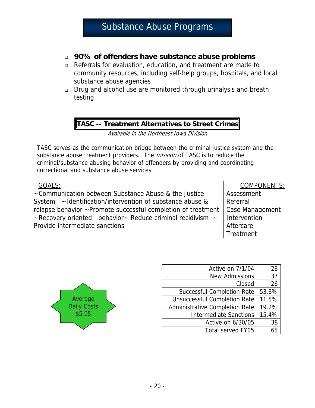## Substance Abuse Programs

#### **90% of offenders have substance abuse problems**

- Referrals for evaluation, education, and treatment are made to community resources, including self-help groups, hospitals, and local substance abuse agencies
- Drug and alcohol use are monitored through urinalysis and breath testing

#### **TASC -- Treatment Alternatives to Street Crimes**

Available in the Northeast Iowa Division

TASC serves as the communication bridge between the criminal justice system and the substance abuse treatment providers. The *mission* of TASC is to reduce the criminal/substance abusing behavior of offenders by providing and coordinating correctional and substance abuse services.

|  | ↩ |  |
|--|---|--|

~Communication between Substance Abuse & the Justice System ~Identification/intervention of substance abuse & relapse behavior ~Promote successful completion of treatment  $\sim$  Recovery oriented behavior $\sim$  Reduce criminal recidivism  $\sim$ Provide intermediate sanctions

COMPONENTS: Assessment Referral Case Management Intervention Aftercare **Treatment** 



| Active on 7/1/04                    | 28    |
|-------------------------------------|-------|
| <b>New Admissions</b>               | 37    |
| Closed                              | 26    |
| <b>Successful Completion Rate</b>   | 53.8% |
| <b>Unsuccessful Completion Rate</b> | 11.5% |
| Administrative Completion Rate      | 19.2% |
| <b>Intermediate Sanctions</b>       | 15.4% |
| Active on 6/30/05                   | 38    |
| Total served FY05                   |       |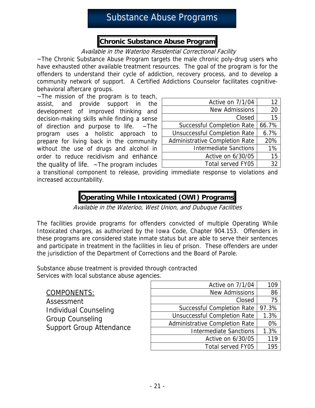# Substance Abuse Programs

### **Chronic Substance Abuse Program**

#### Available in the Waterloo Residential Correctional Facility

~The Chronic Substance Abuse Program targets the male chronic poly-drug users who have exhausted other available treatment resources. The goal of the program is for the offenders to understand their cycle of addiction, recovery process, and to develop a community network of support. A Certified Addictions Counselor facilitates cognitivebehavioral aftercare groups.

~The mission of the program is to teach, assist, and provide support in the development of improved thinking and decision-making skills while finding a sense of direction and purpose to life.  $\sim$ The program uses a holistic approach to prepare for living back in the community without the use of drugs and alcohol in order to reduce recidivism and enhance the quality of life.  $\sim$  The program includes

| Active on 7/1/04                    | 12    |
|-------------------------------------|-------|
| <b>New Admissions</b>               | 20    |
| Closed                              | 15    |
| <b>Successful Completion Rate</b>   | 66.7% |
| <b>Unsuccessful Completion Rate</b> | 6.7%  |
| Administrative Completion Rate      | 20%   |
| <b>Intermediate Sanctions</b>       | 1%    |
| Active on 6/30/05                   | 15    |
| Total served FY05                   | 32    |

a transitional component to release, providing immediate response to violations and increased accountability.

## **Operating While Intoxicated (OWI) Programs**

Available in the Waterloo, West Union, and Dubuque Facilities

The facilities provide programs for offenders convicted of multiple Operating While Intoxicated charges, as authorized by the Iowa Code, Chapter 904.153. Offenders in these programs are considered state inmate status but are able to serve their sentences and participate in treatment in the facilities in lieu of prison. These offenders are under the jurisdiction of the Department of Corrections and the Board of Parole.

Substance abuse treatment is provided through contracted Services with local substance abuse agencies.

|                                                            | Active on 7/1/04                      | 109   |
|------------------------------------------------------------|---------------------------------------|-------|
| <b>COMPONENTS:</b>                                         | New Admissions                        | 86    |
| Assessment                                                 | Closed                                | 75    |
| <b>Individual Counseling</b>                               | Successful Completion Rate            | 97.3% |
| <b>Group Counseling</b><br><b>Support Group Attendance</b> | <b>Unsuccessful Completion Rate</b>   | 1.3%  |
|                                                            | <b>Administrative Completion Rate</b> | 0%    |
|                                                            | <b>Intermediate Sanctions</b>         | 1.3%  |
|                                                            | Active on 6/30/05                     | 119   |
|                                                            | Total served FY05                     | 195   |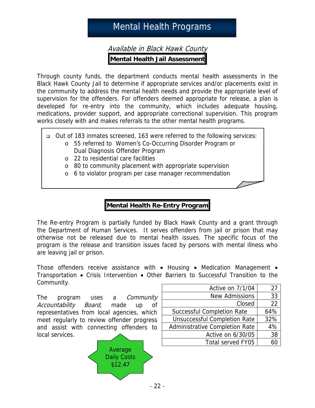# Mental Health Programs

Available in Black Hawk County **Mental Health Jail Assessment** 

Through county funds, the department conducts mental health assessments in the Black Hawk County Jail to determine if appropriate services and/or placements exist in the community to address the mental health needs and provide the appropriate level of supervision for the offenders. For offenders deemed appropriate for release, a plan is developed for re-entry into the community, which includes adequate housing, medications, provider support, and appropriate correctional supervision. This program works closely with and makes referrals to the other mental health programs.

- Out of 183 inmates screened, 163 were referred to the following services:
	- o 55 referred to Women's Co-Occurring Disorder Program or Dual Diagnosis Offender Program
		- o 22 to residential care facilities
		- o 80 to community placement with appropriate supervision
		- o 6 to violator program per case manager recommendation

### **Mental Health Re-Entry Program**

The Re-entry Program is partially funded by Black Hawk County and a grant through the Department of Human Services. It serves offenders from jail or prison that may otherwise not be released due to mental health issues. The specific focus of the program is the release and transition issues faced by persons with mental illness who are leaving jail or prison.

Those offenders receive assistance with • Housing • Medication Management • Transportation • Crisis Intervention • Other Barriers to Successful Transition to the Community.

The program uses a *Community* Accountability Board, made up of representatives from local agencies, which meet regularly to review offender progress and assist with connecting offenders to local services.



| Active on 7/1/04                    | 27  |
|-------------------------------------|-----|
| <b>New Admissions</b>               | 33  |
| Closed                              | 22  |
| Successful Completion Rate          | 64% |
| <b>Unsuccessful Completion Rate</b> | 32% |
| Administrative Completion Rate      | 4%  |
| Active on 6/30/05                   | 38  |
| Total served FY05                   |     |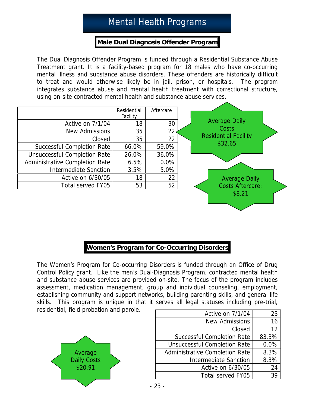# Mental Health Programs

#### **Male Dual Diagnosis Offender Program**

The Dual Diagnosis Offender Program is funded through a Residential Substance Abuse Treatment grant. It is a facility-based program for 18 males who have co-occurring mental illness and substance abuse disorders. These offenders are historically difficult to treat and would otherwise likely be in jail, prison, or hospitals. The program integrates substance abuse and mental health treatment with correctional structure, using on-site contracted mental health and substance abuse services.

|                                       | Residential | Aftercare |
|---------------------------------------|-------------|-----------|
|                                       | Facility    |           |
| Active on 7/1/04                      | 18          | 30        |
| <b>New Admissions</b>                 | 35          | 22        |
| Closed                                | 35          | 22        |
| <b>Successful Completion Rate</b>     | 66.0%       | 59.0%     |
| <b>Unsuccessful Completion Rate</b>   | 26.0%       | 36.0%     |
| <b>Administrative Completion Rate</b> | 6.5%        | 0.0%      |
| <b>Intermediate Sanction</b>          | 3.5%        | 5.0%      |
| Active on 6/30/05                     | 18          | 22        |
| Total served FY05                     | 53          | 52        |



The Women's Program for Co-occurring Disorders is funded through an Office of Drug Control Policy grant. Like the men's Dual-Diagnosis Program, contracted mental health and substance abuse services are provided on-site. The focus of the program includes assessment, medication management, group and individual counseling, employment, establishing community and support networks, building parenting skills, and general life skills. This program is unique in that it serves all legal statuses including pre-trial, residential, field probation and parole.



| Active on 7/1/04                    | 23    |
|-------------------------------------|-------|
| <b>New Admissions</b>               | 16    |
| Closed                              | 12    |
| <b>Successful Completion Rate</b>   | 83.3% |
| <b>Unsuccessful Completion Rate</b> | 0.0%  |
| Administrative Completion Rate      | 8.3%  |
| <b>Intermediate Sanction</b>        | 8.3%  |
| Active on 6/30/05                   | 24    |
| <b>Total served FY05</b>            |       |

Average Daily Costs Residential Facility \$32.65

> Average Daily Costs Aftercare: \$8.21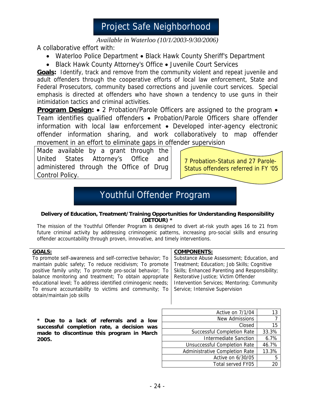*Available in Waterloo (10/1/2003-9/30/2006)*

A collaborative effort with:

- Waterloo Police Department Black Hawk County Sheriff's Department
- Black Hawk County Attorney's Office Juvenile Court Services

**Goals:** Identify, track and remove from the community violent and repeat juvenile and adult offenders through the cooperative efforts of local law enforcement, State and Federal Prosecutors, community based corrections and juvenile court services. Special emphasis is directed at offenders who have shown a tendency to use guns in their intimidation tactics and criminal activities.

**Program Design:** • 2 Probation/Parole Officers are assigned to the program • Team identifies qualified offenders • Probation/Parole Officers share offender information with local law enforcement • Developed inter-agency electronic offender information sharing, and work collaboratively to map offender movement in an effort to eliminate gaps in offender supervision

Made available by a grant through the United States Attorney's Office and administered through the Office of Drug Control Policy.

7 Probation-Status and 27 Parole-Status offenders referred in FY '05

# Youthful Offender Program

#### **Delivery of Education, Treatment/Training Opportunities for Understanding Responsibility (DETOUR) \***

The mission of the Youthful Offender Program is designed to divert at-risk youth ages 16 to 21 from future criminal activity by addressing criminogenic patterns, increasing pro-social skills and ensuring offender accountability through proven, innovative, and timely interventions.

#### **GOALS:**

To promote self-awareness and self-corrective behavior; To maintain public safety; To reduce recidivism; To promote positive family unity; To promote pro-social behavior; To balance monitoring and treatment; To obtain appropriate educational level; To address identified criminogenic needs; To ensure accountability to victims and community; To obtain/maintain job skills

#### **COMPONENTS:**

Substance Abuse Assessment; Education, and Treatment; Education; Job Skills; Cognitive Skills; Enhanced Parenting and Responsibility; Restorative Justice; Victim Offender Intervention Services; Mentoring; Community Service; Intensive Supervision

**\* Due to a lack of referrals and a low successful completion rate, a decision was made to discontinue this program in March 2005.**

| Active on 7/1/04                      | 13    |
|---------------------------------------|-------|
| New Admissions                        |       |
| Closed                                | 15    |
| Successful Completion Rate            | 33.3% |
| <b>Intermediate Sanction</b>          | 6.7%  |
| <b>Unsuccessful Completion Rate</b>   | 46.7% |
| <b>Administrative Completion Rate</b> | 13.3% |
| Active on 6/30/05                     | 5     |
| Total served FY05                     |       |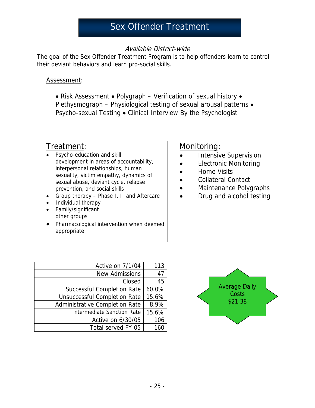#### Available District-wide

The goal of the Sex Offender Treatment Program is to help offenders learn to control their deviant behaviors and learn pro-social skills.

#### Assessment:

• Risk Assessment • Polygraph – Verification of sexual history • Plethysmograph - Physiological testing of sexual arousal patterns . Psycho-sexual Testing • Clinical Interview By the Psychologist

## Treatment:

- Psycho-education and skill development in areas of accountability, interpersonal relationships, human sexuality, victim empathy, dynamics of sexual abuse, deviant cycle, relapse prevention, and social skills
- Group therapy Phase I, II and Aftercare
- Individual therapy
- Family/significant other groups
- Pharmacological intervention when deemed appropriate

#### Monitoring:

- Intensive Supervision
- Electronic Monitoring
- Home Visits
- Collateral Contact
- Maintenance Polygraphs
- Drug and alcohol testing

| Active on 7/1/04                    | 113   |
|-------------------------------------|-------|
| <b>New Admissions</b>               | 47    |
| Closed                              | 45    |
| <b>Successful Completion Rate</b>   | 60.0% |
| <b>Unsuccessful Completion Rate</b> | 15.6% |
| Administrative Completion Rate      | 8.9%  |
| <b>Intermediate Sanction Rate</b>   | 15.6% |
| Active on 6/30/05                   | 106   |
| Total served FY 05                  | 161   |

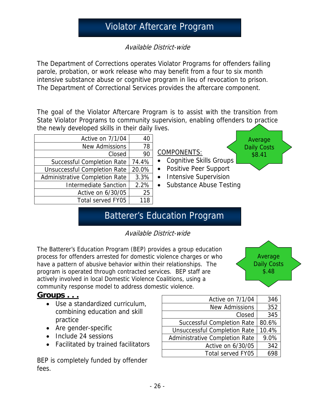# Violator Aftercare Program

Available District-wide

The Department of Corrections operates Violator Programs for offenders failing parole, probation, or work release who may benefit from a four to six month intensive substance abuse or cognitive program in lieu of revocation to prison. The Department of Correctional Services provides the aftercare component.

The goal of the Violator Aftercare Program is to assist with the transition from State Violator Programs to community supervision, enabling offenders to practice the newly developed skills in their daily lives.

| Active on 7/1/04                      | 40    | Average                                     |
|---------------------------------------|-------|---------------------------------------------|
| New Admissions                        | 78    | <b>Daily Costs</b>                          |
| Closed                                | 90    | <b>COMPONENTS:</b><br>\$8.41                |
| <b>Successful Completion Rate</b>     | 74.4% | • Cognitive Skills Groups                   |
| Unsuccessful Completion Rate          | 20.0% | • Positive Peer Support                     |
| <b>Administrative Completion Rate</b> | 3.3%  | <b>Intensive Supervision</b><br>$\bullet$   |
| <b>Intermediate Sanction</b>          | 2.2%  | <b>Substance Abuse Testing</b><br>$\bullet$ |
| Active on 6/30/05                     | 25    |                                             |
| Total served FY05                     | 118   |                                             |
|                                       |       |                                             |

# Batterer's Education Program

Available District-wide

The Batterer's Education Program (BEP) provides a group education process for offenders arrested for domestic violence charges or who have a pattern of abusive behavior within their relationships. The program is operated through contracted services. BEP staff are actively involved in local Domestic Violence Coalitions, using a community response model to address domestic violence.

**Average** Daily Costs \$.48

### **Groups . . .**

- Use a standardized curriculum, combining education and skill practice
- Are gender-specific
- Include 24 sessions
- Facilitated by trained facilitators

BEP is completely funded by offender fees.

| Active on 7/1/04                      | 346   |
|---------------------------------------|-------|
| <b>New Admissions</b>                 | 352   |
| Closed                                | 345   |
| <b>Successful Completion Rate</b>     | 80.6% |
| <b>Unsuccessful Completion Rate</b>   | 10.4% |
| <b>Administrative Completion Rate</b> | 9.0%  |
| Active on 6/30/05                     | 342   |
| Total served FY05                     |       |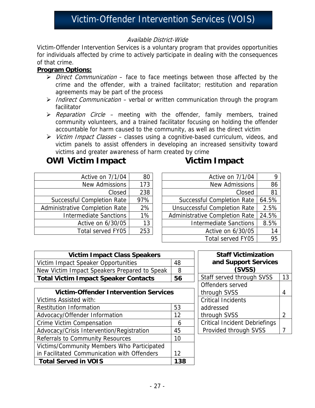#### Available District-Wide

Victim-Offender Intervention Services is a voluntary program that provides opportunities for individuals affected by crime to actively participate in dealing with the consequences of that crime.

#### **Program Options:**

- $\triangleright$  Direct Communication face to face meetings between those affected by the crime and the offender, with a trained facilitator; restitution and reparation agreements may be part of the process
- ighthrow Indirect Communication verbal or written communication through the program facilitator
- $\triangleright$  Reparation Circle meeting with the offender, family members, trained community volunteers, and a trained facilitator focusing on holding the offender accountable for harm caused to the community, as well as the direct victim
- $\triangleright$  Victim Impact Classes classes using a cognitive-based curriculum, videos, and victim panels to assist offenders in developing an increased sensitivity toward victims and greater awareness of harm created by crime

## **OWI Victim Impact COWI Victim Impact**

| Active on 7/1/04                  | 80   |
|-----------------------------------|------|
| <b>New Admissions</b>             | 173  |
| Closed                            | 238  |
| <b>Successful Completion Rate</b> | 97%  |
| Administrative Completion Rate    | 2%   |
| <b>Intermediate Sanctions</b>     | 1%   |
| Active on 6/30/05                 | 13   |
| Total served FY05                 | 253. |

| Active on 7/1/04                      |       |
|---------------------------------------|-------|
| <b>New Admissions</b>                 | 86    |
| Closed                                | 81    |
| <b>Successful Completion Rate</b>     | 64.5% |
| <b>Unsuccessful Completion Rate</b>   | 2.5%  |
| <b>Administrative Completion Rate</b> | 24.5% |
| <b>Intermediate Sanctions</b>         | 8.5%  |
| Active on 6/30/05                     | 14    |
| Total served FY05                     |       |

| <b>Victim Impact Class Speakers</b>          |     |  |  |
|----------------------------------------------|-----|--|--|
| Victim Impact Speaker Opportunities          | 48  |  |  |
| New Victim Impact Speakers Prepared to Speak | 8   |  |  |
| <b>Total Victim Impact Speaker Contacts</b>  | 56  |  |  |
|                                              |     |  |  |
| <b>Victim-Offender Intervention Services</b> |     |  |  |
| Victims Assisted with:                       |     |  |  |
| <b>Restitution Information</b>               | 53  |  |  |
| Advocacy/Offender Information                | 12  |  |  |
| <b>Crime Victim Compensation</b>             | 6   |  |  |
| Advocacy/Crisis Intervention/Registration    | 45  |  |  |
| Referrals to Community Resources             | 10  |  |  |
| Victims/Community Members Who Participated   |     |  |  |
| in Facilitated Communication with Offenders  | 12  |  |  |
| <b>Total Served in VOIS</b>                  | 138 |  |  |

| <b>Staff Victimization</b><br>and Support Services<br>(SVSS) |    |
|--------------------------------------------------------------|----|
| Staff served through SVSS                                    | 13 |
| Offenders served                                             |    |
| through SVSS                                                 |    |
| <b>Critical Incidents</b>                                    |    |
| addressed                                                    |    |
| through SVSS                                                 | 2  |
| <b>Critical Incident Debriefings</b>                         |    |
| Provided through SVSS                                        |    |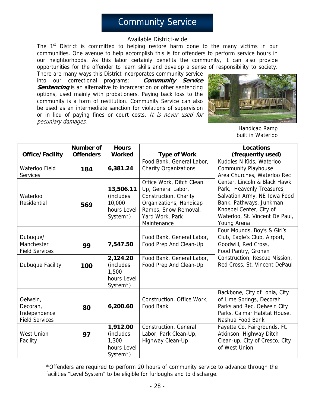## Community Service

#### Available District-wide

The 1<sup>st</sup> District is committed to helping restore harm done to the many victims in our communities. One avenue to help accomplish this is for offenders to perform service hours in our neighborhoods. As this labor certainly benefits the community, it can also provide opportunities for the offender to learn skills and develop a sense of responsibility to society.

There are many ways this District incorporates community service into our correctional programs: **Community Service Sentencing** is an alternative to incarceration or other sentencing options, used mainly with probationers. Paying back loss to the community is a form of restitution. Community Service can also be used as an intermediate sanction for violations of supervision or in lieu of paying fines or court costs. It is never used for pecuniary damages.



Handicap Ramp built in Waterloo

|                                                               | <b>Number of</b> | <b>Hours</b>                                                             |                                                                                                                                                              | <b>Locations</b>                                                                                                                                                                                 |
|---------------------------------------------------------------|------------------|--------------------------------------------------------------------------|--------------------------------------------------------------------------------------------------------------------------------------------------------------|--------------------------------------------------------------------------------------------------------------------------------------------------------------------------------------------------|
| <b>Office/Facility</b>                                        | <b>Offenders</b> | <b>Worked</b>                                                            | <b>Type of Work</b>                                                                                                                                          | (frequently used)                                                                                                                                                                                |
| Waterloo Field<br><b>Services</b>                             | 184              | 6,381.24                                                                 | Food Bank, General Labor,<br><b>Charity Organizations</b>                                                                                                    | Kuddles N Kids, Waterloo<br><b>Community Playhouse</b><br>Area Churches, Waterloo Rec                                                                                                            |
| Waterloo<br>Residential                                       | 569              | 13,506.11<br>(includes<br>10,000<br>hours Level<br>System <sup>*</sup> ) | Office Work, Ditch Clean<br>Up, General Labor,<br>Construction, Charity<br>Organizations, Handicap<br>Ramps, Snow Removal,<br>Yard Work, Park<br>Maintenance | Center, Lincoln & Black Hawk<br>Park, Heavenly Treasures,<br>Salvation Army, NE Iowa Food<br>Bank, Pathways, Junkman<br>Knoebel Center, City of<br>Waterloo, St. Vincent De Paul,<br>Young Arena |
| Dubuque/<br>Manchester<br><b>Field Services</b>               | 99               | 7,547.50                                                                 | Food Bank, General Labor,<br>Food Prep And Clean-Up                                                                                                          | Four Mounds, Boy's & Girl's<br>Club, Eagle's Club, Airport,<br>Goodwill, Red Cross,<br>Food Pantry, Gronen                                                                                       |
| Dubuque Facility                                              | 100              | 2,124.20<br>(includes)<br>1,500<br>hours Level<br>System*)               | Food Bank, General Labor,<br>Food Prep And Clean-Up                                                                                                          | Construction, Rescue Mission,<br>Red Cross, St. Vincent DePaul                                                                                                                                   |
| Oelwein,<br>Decorah,<br>Independence<br><b>Field Services</b> | 80               | 6,200.60                                                                 | Construction, Office Work,<br>Food Bank                                                                                                                      | Backbone, City of Ionia, City<br>of Lime Springs, Decorah<br>Parks and Rec, Oelwein City<br>Parks, Calmar Habitat House,<br>Nashua Food Bank                                                     |
| <b>West Union</b><br>Facility                                 | 97               | 1,912.00<br>(includes<br>1,300<br>hours Level<br>System*)                | Construction, General<br>Labor, Park Clean-Up,<br>Highway Clean-Up                                                                                           | Fayette Co. Fairgrounds, Ft.<br>Atkinson, Highway Ditch<br>Clean-up, City of Cresco, City<br>of West Union                                                                                       |

\*Offenders are required to perform 20 hours of community service to advance through the facilities "Level System" to be eligible for furloughs and to discharge.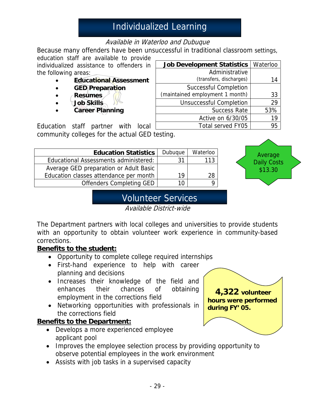# Individualized Learning

### Available in Waterloo and Dubuque

Because many offenders have been unsuccessful in traditional classroom settings,

**Job Development Statistics | Waterloo** 

Successful Completion (maintained employment 1 month) 33

Administrative

Unsuccessful Completion 29

(transfers, discharges) 14

Success Rate | 53% Active on 6/30/05 | 19 Total served FY05 | 95

education staff are available to provide individualized assistance to offenders in the following areas:

- **Educational Assessment**
- **GED Preparation**
- **Resumes**
- **Job Skills**
- **Career Planning**

Education staff partner with local community colleges for the actual GED testing.

| <b>Education Statistics</b>            | Dubuque | Waterloo |
|----------------------------------------|---------|----------|
| Educational Assessments administered:  | 31      | 113      |
| Average GED preparation or Adult Basic |         |          |
| Education classes attendance per month | 19      | 28       |
| <b>Offenders Completing GED</b>        | 10      |          |



# Volunteer Services

Available District-wide

The Department partners with local colleges and universities to provide students with an opportunity to obtain volunteer work experience in community-based corrections.

### **Benefits to the student:**

- Opportunity to complete college required internships
- First-hand experience to help with career planning and decisions
- Increases their knowledge of the field and enhances their chances of obtaining employment in the corrections field
- Networking opportunities with professionals in the corrections field

#### **Benefits to the Department:**

- Develops a more experienced employee applicant pool
- Improves the employee selection process by providing opportunity to observe potential employees in the work environment
- Assists with job tasks in a supervised capacity

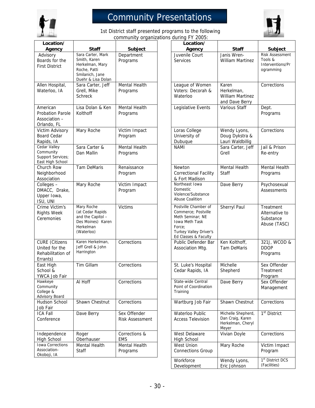

# Community Presentations



1st District staff presented programs to the following community organizations during FY 2005:

| Location/                                                                | <b>Staff</b>                                                                                        | Subject                                | Location/                                                                                                                                     |
|--------------------------------------------------------------------------|-----------------------------------------------------------------------------------------------------|----------------------------------------|-----------------------------------------------------------------------------------------------------------------------------------------------|
| Agency<br>Advisory                                                       | Sara Carter, Mark                                                                                   | Department                             | Agency<br>Juvenile Court                                                                                                                      |
| Boards for the<br><b>First District</b>                                  | Smith, Karen<br>Herkelman, Mary<br>Roche, Patti<br>Smilanich, Jane<br>Duehr & Lisa Dolan            | Programs                               | <b>Services</b>                                                                                                                               |
| Allen Hospital,<br>Waterloo, IA                                          | Sara Carter, Jeff<br>Grell, Mike<br><b>Schreck</b>                                                  | Mental Health<br>Programs              | League of Women<br>Voters: Decorah &<br>Waterloo                                                                                              |
| American<br><b>Probation Parole</b><br>Association -<br>Orlando, FL      | Lisa Dolan & Ken<br>Kolthoff                                                                        | Mental Health<br>Programs              | Legislative Events                                                                                                                            |
| Victim Advisory<br><b>Board Cedar</b><br>Rapids, IA                      | Mary Roche                                                                                          | Victim Impact<br>Program               | Loras College<br>University of<br>Dubuque                                                                                                     |
| Cedar Valley<br>Community<br>Support Services;<br>East High School       | Sara Carter &<br>Dan Mallin                                                                         | Mental Health<br>Programs              | <b>NAMI</b>                                                                                                                                   |
| Church Row<br>Neighborhood<br>Association                                | <b>Tam DeMaris</b>                                                                                  | Renaissance<br>Program                 | Newton<br>Correctional Facility<br>& Fort Madison                                                                                             |
| Colleges -<br>DMACC, Drake,<br>Upper Iowa,<br>ISU, UNI                   | Mary Roche                                                                                          | Victim Impact<br>Program               | Northeast Iowa<br>Domestic<br>Violence/Substance<br><b>Abuse Coalition</b>                                                                    |
| Crime Victim's<br><b>Rights Week</b><br>Ceremonies                       | Mary Roche<br>(at Cedar Rapids<br>and the Capitol -<br>Des Moines) Karen<br>Herkelman<br>(Waterloo) | <b>Victims</b>                         | Postville Chamber of<br>Commerce; Postville<br>Meth Seminar; NE<br>Iowa Meth Task<br>Force:<br>Turkey Valley Driver's<br>Ed Classes & Faculty |
| <b>CURE</b> (Citizens<br>United for the<br>Rehabilitation of<br>Errants) | Karen Herkelman,<br>Jeff Grell & John<br>Harrington                                                 | Corrections                            | Public Defender Ba<br>Association Mtg.                                                                                                        |
| East High<br>School &<br>YWCA Job Fair                                   | Tim Gillam                                                                                          | Corrections                            | St. Luke's Hospital<br>Cedar Rapids, IA                                                                                                       |
| Hawkeye<br>Community<br>College &<br><b>Advisory Board</b>               | Al Hoff                                                                                             | Corrections                            | State-wide Central<br>Point of Coordination<br>Training                                                                                       |
| Hudson School<br>Job Fair                                                | Shawn Chestnut                                                                                      | Corrections                            | Wartburg Job Fair                                                                                                                             |
| <b>ICA Fall</b><br>Conference                                            | Dave Berry                                                                                          | Sex Offender<br><b>Risk Assessment</b> | Waterloo Public<br><b>Access Television</b>                                                                                                   |
| Independence<br>High School                                              | Roger<br>Oberhauser                                                                                 | Corrections &<br><b>EMS</b>            | West Delaware<br>High School                                                                                                                  |
| <b>Iowa Corrections</b><br>Association-<br>Okoboji, IA                   | Mental Health<br>Staff                                                                              | Mental Health<br>Programs              | West Union<br><b>Connections Group</b>                                                                                                        |
|                                                                          |                                                                                                     |                                        | Workforce                                                                                                                                     |

| <b>Staff</b>                                                                                                  | Subject                                | Location/<br>Agency                                                                                                                                  | <b>Staff</b>                                                         | <b>Subject</b>                                                     |
|---------------------------------------------------------------------------------------------------------------|----------------------------------------|------------------------------------------------------------------------------------------------------------------------------------------------------|----------------------------------------------------------------------|--------------------------------------------------------------------|
| Sara Carter, Mark<br>Smith, Karen<br>Herkelman, Mary<br>Roche, Patti<br>Smilanich, Jane<br>Duehr & Lisa Dolan | Department<br>Programs                 | Juvenile Court<br><b>Services</b>                                                                                                                    | Janis Wren-<br><b>William Martinez</b>                               | <b>Risk Assessment</b><br>Tools &<br>Interventions/Pr<br>ogramming |
| Sara Carter, Jeff<br>Grell, Mike<br>Schreck                                                                   | <b>Mental Health</b><br>Programs       | League of Women<br>Voters: Decorah &<br>Waterloo                                                                                                     | Karen<br>Herkelman,<br>William Martinez<br>and Dave Berry            | Corrections                                                        |
| Lisa Dolan & Ken<br>Kolthoff                                                                                  | Mental Health<br>Programs              | Legislative Events                                                                                                                                   | Various Staff                                                        | Dept.<br>Programs                                                  |
| Mary Roche                                                                                                    | Victim Impact<br>Program               | Loras College<br>University of<br>Dubuque                                                                                                            | Wendy Lyons,<br>Doug Dykstra &<br>Lauri Waldbillig                   | Corrections                                                        |
| Sara Carter &<br>Dan Mallin                                                                                   | Mental Health<br>Programs              | <b>NAMI</b>                                                                                                                                          | Sara Carter, Jeff<br>Grell                                           | Jail & Prison<br>Re-entry                                          |
| Tam DeMaris                                                                                                   | Renaissance<br>Program                 | <b>Newton</b><br><b>Correctional Facility</b><br>& Fort Madison                                                                                      | Mental Health<br><b>Staff</b>                                        | Mental Health<br>Programs                                          |
| Mary Roche                                                                                                    | Victim Impact<br>Program               | Northeast Iowa<br>Domestic<br>Violence/Substance<br>Abuse Coalition                                                                                  | Dave Berry                                                           | Psychosexual<br><b>Assessments</b>                                 |
| Mary Roche<br>(at Cedar Rapids<br>and the Capitol -<br>Des Moines) Karen<br>Herkelman<br>(Waterloo)           | <b>Victims</b>                         | Postville Chamber of<br>Commerce; Postville<br>Meth Seminar; NE<br><b>Iowa Meth Task</b><br>Force:<br>Turkey Valley Driver's<br>Ed Classes & Faculty | Sherryl Paul                                                         | Treatment<br>Alternative to<br>Substance<br>Abuse (TASC)           |
| Karen Herkelman,<br>Jeff Grell & John<br>Harrington                                                           | Corrections                            | Public Defender Bar<br>Association Mtg.                                                                                                              | Ken Kolthoff,<br><b>Tam DeMaris</b>                                  | 321J, WCOD &<br><b>DDOP</b><br>Programs                            |
| Tim Gillam                                                                                                    | Corrections                            | St. Luke's Hospital<br>Cedar Rapids, IA                                                                                                              | Michelle<br>Shepherd                                                 | Sex Offender<br>Treatment<br>Program                               |
| Al Hoff                                                                                                       | Corrections                            | State-wide Central<br>Point of Coordination<br>Training                                                                                              | Dave Berry                                                           | Sex Offender<br>Management                                         |
| Shawn Chestnut                                                                                                | Corrections                            | Wartburg Job Fair                                                                                                                                    | Shawn Chestnut                                                       | Corrections                                                        |
| Dave Berry                                                                                                    | Sex Offender<br><b>Risk Assessment</b> | Waterloo Public<br><b>Access Television</b>                                                                                                          | Michelle Shepherd,<br>Dan Craig, Karen<br>Herkelman, Cheryl<br>Meyer | 1 <sup>st</sup> District                                           |
| Roger<br>Oberhauser                                                                                           | Corrections &<br><b>EMS</b>            | West Delaware<br><b>High School</b>                                                                                                                  | Vivian Doyle                                                         | Corrections                                                        |
| Mental Health<br>Staff                                                                                        | Mental Health<br>Programs              | West Union<br><b>Connections Group</b>                                                                                                               | Mary Roche                                                           | Victim Impact<br>Program                                           |
|                                                                                                               |                                        | Workforce<br>Development                                                                                                                             | Wendy Lyons,<br>Eric Johnson                                         | 1 <sup>st</sup> District DCS<br>(Facilities)                       |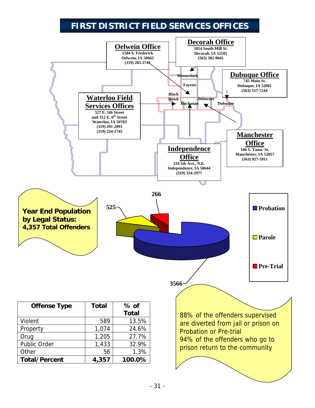# **FIRST DISTRICT FIELD SERVICES OFFICES**

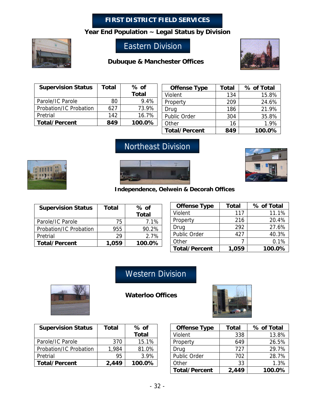#### **FIRST DISTRICT FIELD SERVICES**

**Year End Population ~ Legal Status by Division**



## Eastern Division

#### **Dubuque & Manchester Offices**



| <b>Supervision Status</b> | Total | % of   |
|---------------------------|-------|--------|
|                           |       | Total  |
| Parole/IC Parole          | 80    | 9.4%   |
| Probation/IC Probation    | 627   | 73.9%  |
| Pretrial                  | 142   | 16.7%  |
| <b>Total/Percent</b>      | 849   | 100.0% |

| <b>Offense Type</b>  | <b>Total</b> | % of Total |
|----------------------|--------------|------------|
| Violent              | 134          | 15.8%      |
| Property             | 209          | 24.6%      |
| Drug                 | 186          | 21.9%      |
| Public Order         | 304          | 35.8%      |
| Other                | 16           | 1.9%       |
| <b>Total/Percent</b> | 849          | 100.0%     |

# Northeast Division







**Independence, Oelwein & Decorah Offices**

| <b>Supervision Status</b> | <b>Total</b> | $%$ of<br>Total |
|---------------------------|--------------|-----------------|
| Parole/IC Parole          | 75           | 7.1%            |
| Probation/IC Probation    | 955          | 90.2%           |
| Pretrial                  | 29           | $2.7\%$         |
| <b>Total/Percent</b>      | 1,059        | 100.0%          |

| <b>Offense Type</b>  | <b>Total</b> | % of Total |
|----------------------|--------------|------------|
| Violent              | 117          | 11.1%      |
| Property             | 216          | 20.4%      |
| Drug                 | 292          | 27.6%      |
| Public Order         | 427          | 40.3%      |
| Other                |              | 0.1%       |
| <b>Total/Percent</b> | 1,059        | 100.0%     |

# Western Division



**Waterloo Offices** 



| <b>Supervision Status</b> | Total | $%$ of       |
|---------------------------|-------|--------------|
|                           |       | <b>Total</b> |
| Parole/IC Parole          | 370   | 15.1%        |
| Probation/IC Probation    | 1.984 | 81.0%        |
| Pretrial                  | 95    | 3.9%         |
| <b>Total/Percent</b>      | 2,449 | 100.0%       |

| <b>Offense Type</b>  | <b>Total</b> | % of Total |
|----------------------|--------------|------------|
| Violent              | 338          | 13.8%      |
| Property             | 649          | 26.5%      |
| Drug                 | 727          | 29.7%      |
| Public Order         | 702          | 28.7%      |
| Other                | 33           | 1.3%       |
| <b>Total/Percent</b> | 2,449        | 100.0%     |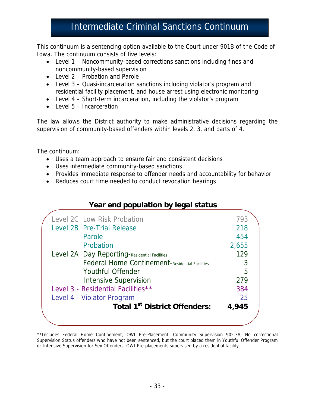# Intermediate Criminal Sanctions Continuum

This continuum is a sentencing option available to the Court under 901B of the Code of Iowa. The continuum consists of five levels:

- Level 1 Noncommunity-based corrections sanctions including fines and noncommunity-based supervision
- Level 2 Probation and Parole
- Level 3 Quasi-incarceration sanctions including violator's program and residential facility placement, and house arrest using electronic monitoring
- Level 4 Short-term incarceration, including the violator's program
- Level 5 Incarceration

The law allows the District authority to make administrative decisions regarding the supervision of community-based offenders within levels 2, 3, and parts of 4.

The continuum:

- Uses a team approach to ensure fair and consistent decisions
- Uses intermediate community-based sanctions
- Provides immediate response to offender needs and accountability for behavior
- Reduces court time needed to conduct revocation hearings

| Year end population by legal status |  |  |
|-------------------------------------|--|--|
|                                     |  |  |

|  | <b>Total 1st District Offenders:</b>            | 4,945 |
|--|-------------------------------------------------|-------|
|  | Level 4 - Violator Program                      | 25    |
|  | Level 3 - Residential Facilities**              | 384   |
|  | <b>Intensive Supervision</b>                    | 279   |
|  | <b>Youthful Offender</b>                        | 5     |
|  | Federal Home Confinement-Residential Facilities | 3     |
|  | Level 2A Day Reporting-Residential Facilities   | 129   |
|  | Probation                                       | 2,655 |
|  | Parole                                          | 454   |
|  | Level 2B Pre-Trial Release                      | 218   |
|  | Level 2C Low Risk Probation                     | 793   |
|  |                                                 |       |

\*\*Includes Federal Home Confinement, OWI Pre-Placement, Community Supervision 902.3A, No correctional Supervision Status offenders who have not been sentenced, but the court placed them in Youthful Offender Program or Intensive Supervision for Sex Offenders, OWI Pre-placements supervised by a residential facility.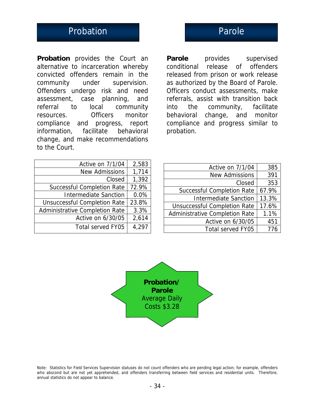# Probation **Probation** Parole

**Probation** provides the Court an alternative to incarceration whereby convicted offenders remain in the community under supervision. Offenders undergo risk and need assessment, case planning, and referral to local community resources. Officers monitor compliance and progress, report information, facilitate behavioral change, and make recommendations to the Court.

**Parole** provides supervised conditional release of offenders released from prison or work release as authorized by the Board of Parole. Officers conduct assessments, make referrals, assist with transition back into the community, facilitate behavioral change, and monitor compliance and progress similar to probation.

| Active on 7/1/04                      | 2,583 |
|---------------------------------------|-------|
| <b>New Admissions</b>                 | 1,714 |
| Closed                                | 1,392 |
| <b>Successful Completion Rate</b>     | 72.9% |
| <b>Intermediate Sanction</b>          | 0.0%  |
| <b>Unsuccessful Completion Rate</b>   | 23.8% |
| <b>Administrative Completion Rate</b> | 3.3%  |
| Active on 6/30/05                     | 2,614 |
| Total served FY05                     | 4,297 |

| Active on 7/1/04                      | 385   |
|---------------------------------------|-------|
| <b>New Admissions</b>                 | 391   |
| Closed                                | 353   |
| <b>Successful Completion Rate</b>     | 67.9% |
| <b>Intermediate Sanction</b>          | 13.3% |
| <b>Unsuccessful Completion Rate</b>   | 17.6% |
| <b>Administrative Completion Rate</b> | 1.1%  |
| Active on 6/30/05                     | 451   |
| Total served FY05                     | 776   |



Note: Statistics for Field Services Supervision statuses do not count offenders who are pending legal action; for example, offenders who abscond but are not yet apprehended, and offenders transferring between field services and residential units. Therefore, annual statistics do not appear to balance.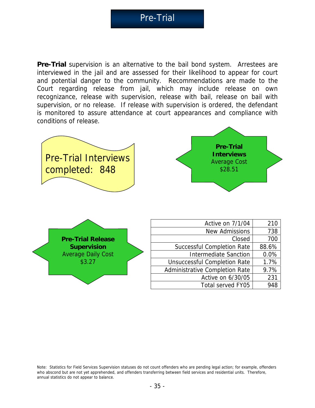**Pre-Trial** supervision is an alternative to the bail bond system. Arrestees are interviewed in the jail and are assessed for their likelihood to appear for court and potential danger to the community. Recommendations are made to the Court regarding release from jail, which may include release on own recognizance, release with supervision, release with bail, release on bail with supervision, or no release. If release with supervision is ordered, the defendant is monitored to assure attendance at court appearances and compliance with conditions of release.





Note: Statistics for Field Services Supervision statuses do not count offenders who are pending legal action; for example, offenders who abscond but are not yet apprehended, and offenders transferring between field services and residential units. Therefore, annual statistics do not appear to balance.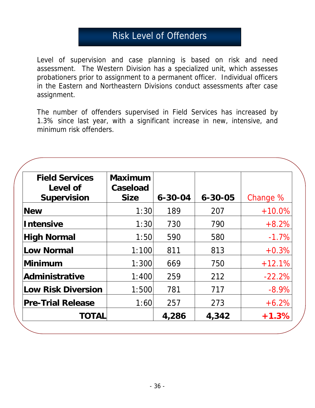# Risk Level of Offenders

Level of supervision and case planning is based on risk and need assessment. The Western Division has a specialized unit, which assesses probationers prior to assignment to a permanent officer. Individual officers in the Eastern and Northeastern Divisions conduct assessments after case assignment.

The number of offenders supervised in Field Services has increased by 1.3% since last year, with a significant increase in new, intensive, and minimum risk offenders.

| <b>Field Services</b><br>Level of<br><b>Supervision</b> | <b>Maximum</b><br>Caseload<br><b>Size</b> | $6 - 30 - 04$ | $6 - 30 - 05$ | Change %  |
|---------------------------------------------------------|-------------------------------------------|---------------|---------------|-----------|
| <b>New</b>                                              | 1:30                                      | 189           | 207           | $+10.0\%$ |
| <b>Intensive</b>                                        | 1:30                                      | 730           | 790           | $+8.2%$   |
| <b>High Normal</b>                                      | 1:50                                      | 590           | 580           | $-1.7%$   |
| Low Normal                                              | 1:100                                     | 811           | 813           | $+0.3%$   |
| Minimum                                                 | 1:300                                     | 669           | 750           | $+12.1%$  |
| Administrative                                          | 1:400                                     | 259           | 212           | $-22.2%$  |
| <b>Low Risk Diversion</b>                               | 1:500                                     | 781           | 717           | $-8.9\%$  |
| <b>Pre-Trial Release</b>                                | 1:60                                      | 257           | 273           | $+6.2%$   |
| <b>TOTAL</b>                                            |                                           | 4,286         | 4,342         | $+1.3\%$  |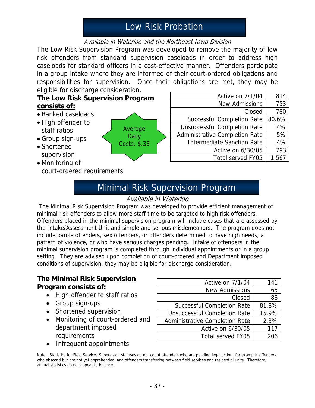# Low Risk Probation

#### Available in Waterloo and the Northeast Iowa Division

The Low Risk Supervision Program was developed to remove the majority of low risk offenders from standard supervision caseloads in order to address high caseloads for standard officers in a cost-effective manner. Offenders participate in a group intake where they are informed of their court-ordered obligations and responsibilities for supervision. Once their obligations are met, they may be eligible for discharge consideration.

### **The Low Risk Supervision Program consists of:**

- Banked caseloads
- High offender to staff ratios
- Group sign-ups
- Shortened supervision
- Monitoring of court-ordered requirements

| Average               |  |
|-----------------------|--|
| Daily<br>Costs: \$.33 |  |
|                       |  |

| Active on 7/1/04                      | 814   |
|---------------------------------------|-------|
| <b>New Admissions</b>                 | 753   |
| Closed                                | 780   |
| <b>Successful Completion Rate</b>     | 80.6% |
| <b>Unsuccessful Completion Rate</b>   | 14%   |
| <b>Administrative Completion Rate</b> | 5%    |
| <b>Intermediate Sanction Rate</b>     | .4%   |
| Active on 6/30/05                     | 793   |
| Total served FY05                     | 1.567 |

# Minimal Risk Supervision Program

#### Available in Waterloo

 The Minimal Risk Supervision Program was developed to provide efficient management of minimal risk offenders to allow more staff time to be targeted to high risk offenders. Offenders placed in the minimal supervision program will include cases that are assessed by the Intake/Assessment Unit and simple and serious misdemeanors. The program does not include parole offenders, sex offenders, or offenders determined to have high needs, a pattern of violence, or who have serious charges pending. Intake of offenders in the minimal supervision program is completed through individual appointments or in a group setting. They are advised upon completion of court-ordered and Department imposed conditions of supervision, they may be eligible for discharge consideration.

#### **The Minimal Risk Supervision Program consists of:**

- High offender to staff ratios
- Group sign-ups
- Shortened supervision
- Monitoring of court-ordered and department imposed requirements
- Infrequent appointments

| Active on 7/1/04                      | 141   |
|---------------------------------------|-------|
| <b>New Admissions</b>                 | 65    |
| Closed                                | 88    |
| <b>Successful Completion Rate</b>     | 81.8% |
| <b>Unsuccessful Completion Rate</b>   | 15.9% |
| <b>Administrative Completion Rate</b> | 2.3%  |
| Active on 6/30/05                     | 117   |
| Total served FY05                     |       |

Note: Statistics for Field Services Supervision statuses do not count offenders who are pending legal action; for example, offenders who abscond but are not yet apprehended, and offenders transferring between field services and residential units. Therefore, annual statistics do not appear to balance.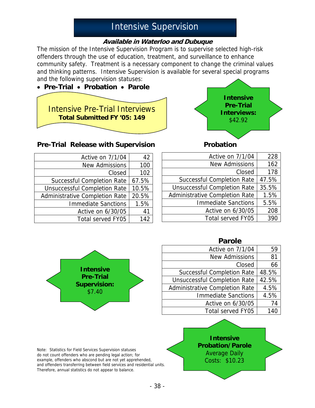# Intensive Supervision

#### **Available in Waterloo and Dubuque**

The mission of the Intensive Supervision Program is to supervise selected high-risk offenders through the use of education, treatment, and surveillance to enhance community safety. Treatment is a necessary component to change the criminal values and thinking patterns. Intensive Supervision is available for several special programs and the following supervision statuses:





#### **Pre-Trial Release with Supervision <b>Probation**

| Active on 7/1/04                      | 42    |
|---------------------------------------|-------|
| <b>New Admissions</b>                 | 100   |
| Closed                                | 102   |
| <b>Successful Completion Rate</b>     | 67.5% |
| <b>Unsuccessful Completion Rate</b>   | 10.5% |
| <b>Administrative Completion Rate</b> | 20.5% |
| <b>Immediate Sanctions</b>            | 1.5%  |
| Active on 6/30/05                     | 41    |
| Total served FY05                     | 142   |

| 228   |
|-------|
| 162   |
| 178   |
| 47.5% |
| 35.5% |
| 1.5%  |
| 5.5%  |
| 208   |
| 390   |
|       |

|                                      | <b>Parole</b>                       |       |
|--------------------------------------|-------------------------------------|-------|
|                                      | Active on 7/1/04                    | 59    |
|                                      | <b>New Admissions</b>               | 81    |
|                                      | Closed                              | 66    |
| <b>Intensive</b><br><b>Pre-Trial</b> | <b>Successful Completion Rate</b>   | 48.5% |
|                                      | <b>Unsuccessful Completion Rate</b> | 42.5% |
| <b>Supervision:</b><br>\$7.40        | Administrative Completion Rate      | 4.5%  |
|                                      | <b>Immediate Sanctions</b>          | 4.5%  |
|                                      | Active on 6/30/05                   | 74    |
|                                      | Total served FY05                   | 140   |



Note: Statistics for Field Services Supervision statuses do not count offenders who are pending legal action; for example, offenders who abscond but are not yet apprehended, and offenders transferring between field services and residential units. Therefore, annual statistics do not appear to balance.

**Intensive Probation/Parole** Average Daily Costs: \$10.23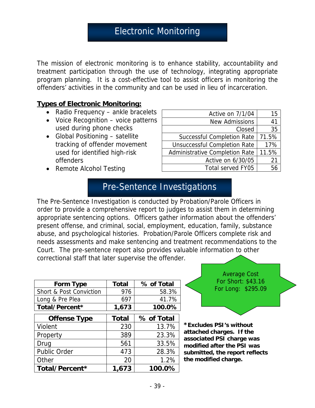The mission of electronic monitoring is to enhance stability, accountability and treatment participation through the use of technology, integrating appropriate program planning. It is a cost-effective tool to assist officers in monitoring the offenders' activities in the community and can be used in lieu of incarceration.

#### **Types of Electronic Monitoring:**

- Radio Frequency ankle bracelets
- Voice Recognition voice patterns used during phone checks
- Global Positioning satellite tracking of offender movement used for identified high-risk offenders
- Remote Alcohol Testing

| Active on 7/1/04                    | 15    |
|-------------------------------------|-------|
| <b>New Admissions</b>               | 41    |
| Closed                              | 35    |
| <b>Successful Completion Rate</b>   | 71.5% |
| <b>Unsuccessful Completion Rate</b> | 17%   |
| Administrative Completion Rate      | 11.5% |
| Active on 6/30/05                   | 21    |
| <b>Total served FY05</b>            |       |

## Pre-Sentence Investigations

The Pre-Sentence Investigation is conducted by Probation/Parole Officers in order to provide a comprehensive report to judges to assist them in determining appropriate sentencing options. Officers gather information about the offenders' present offense, and criminal, social, employment, education, family, substance abuse, and psychological histories. Probation/Parole Officers complete risk and needs assessments and make sentencing and treatment recommendations to the Court. The pre-sentence report also provides valuable information to other correctional staff that later supervise the offender.

| Form Type                          | <b>Total</b> | % of Total |
|------------------------------------|--------------|------------|
| <b>Short &amp; Post Conviction</b> | 976          | 58.3%      |
| Long & Pre Plea                    | 697          | 41.7%      |
| Total/Percent*                     | 1,673        | 100.0%     |
| <b>Offense Type</b>                | <b>Total</b> | % of Total |
| Violent                            | 230          | 13.7%      |
| Property                           | 389          | 23.3%      |
| Drug                               | 561          | 33.5%      |
| <b>Public Order</b>                | 473          | 28.3%      |
| Other                              | 20           | 1.2%       |
| Total/Percent*                     | 1,673        | 100.0%     |

Average Cost For Short: \$43.16 For Long: \$295.09

**\*Excludes PSI's without attached charges. If the associated PSI charge was modified after the PSI was submitted, the report reflects the modified charge.**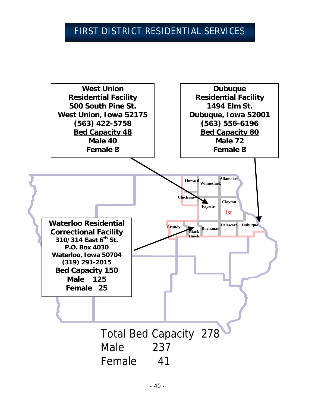# FIRST DISTRICT RESIDENTIAL SERVICES

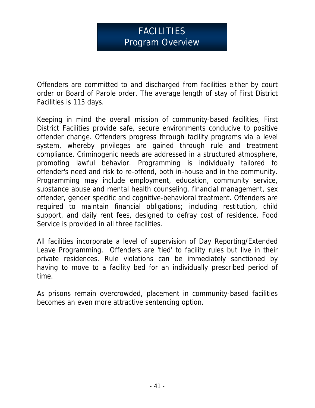# FACILITIES Program Overview

Offenders are committed to and discharged from facilities either by court order or Board of Parole order. The average length of stay of First District Facilities is 115 days.

Keeping in mind the overall mission of community-based facilities, First District Facilities provide safe, secure environments conducive to positive offender change. Offenders progress through facility programs via a level system, whereby privileges are gained through rule and treatment compliance. Criminogenic needs are addressed in a structured atmosphere, promoting lawful behavior. Programming is individually tailored to offender's need and risk to re-offend, both in-house and in the community. Programming may include employment, education, community service, substance abuse and mental health counseling, financial management, sex offender, gender specific and cognitive-behavioral treatment. Offenders are required to maintain financial obligations; including restitution, child support, and daily rent fees, designed to defray cost of residence. Food Service is provided in all three facilities.

All facilities incorporate a level of supervision of Day Reporting/Extended Leave Programming. Offenders are 'tied' to facility rules but live in their private residences. Rule violations can be immediately sanctioned by having to move to a facility bed for an individually prescribed period of time.

As prisons remain overcrowded, placement in community-based facilities becomes an even more attractive sentencing option.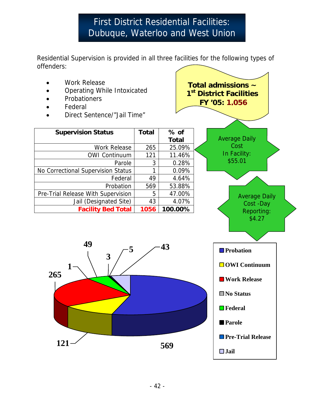# First District Residential Facilities: Dubuque, Waterloo and West Union

Residential Supervision is provided in all three facilities for the following types of offenders:

- Work Release
- Operating While Intoxicated
- **Probationers**
- **Federal**
- Direct Sentence/"Jail Time"

| <b>Supervision Status</b>          | <b>Total</b> | $%$ of       |  |
|------------------------------------|--------------|--------------|--|
|                                    |              | <b>Total</b> |  |
| <b>Work Release</b>                | 265          | 25.09%       |  |
| <b>OWI Continuum</b>               | 121          | 11.46%       |  |
| Parole                             | 3            | 0.28%        |  |
| No Correctional Supervision Status |              | 0.09%        |  |
| Federal                            | 49           | 4.64%        |  |
| Probation                          | 569          | 53.88%       |  |
| Pre-Trial Release With Supervision | 5            | 47.00%       |  |
| Jail (Designated Site)             | 43           | 4.07%        |  |
| <b>Facility Bed Total</b>          | 1056         | 100.00%      |  |





**Total admissions ~ 1st District Facilities FY '05: 1,056**

> Average Daily **Cost** In Facility: \$55.01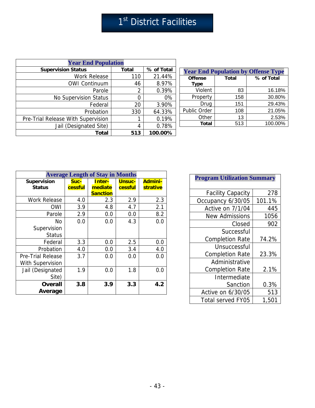| <b>Year End Population</b>         |              |            |  |  |
|------------------------------------|--------------|------------|--|--|
| <b>Supervision Status</b>          | <b>Total</b> | % of Total |  |  |
| Work Release                       | 110          | 21.44%     |  |  |
| <b>OWI Continuum</b>               | 46           | 8.97%      |  |  |
| Parole                             | 2            | 0.39%      |  |  |
| <b>No Supervision Status</b>       |              | 0%         |  |  |
| Federal                            | 20           | 3.90%      |  |  |
| Probation                          | 330          | 64.33%     |  |  |
| Pre-Trial Release With Supervision |              | 0.19%      |  |  |
| Jail (Designated Site)             | 4            | 0.78%      |  |  |
| Total                              | 513          | 100.00%    |  |  |

| <b>Year End Population by Offense Type</b> |              |            |  |  |
|--------------------------------------------|--------------|------------|--|--|
| <b>Offense</b><br><b>Type</b>              | <b>Total</b> | % of Total |  |  |
| Violent                                    | 83           | 16.18%     |  |  |
| Property                                   | 158          | 30.80%     |  |  |
| Drug                                       | 151          | 29.43%     |  |  |
| Public Order                               | 108          | 21.05%     |  |  |
| Other                                      | 13           | 2.53%      |  |  |
| <b>Total</b>                               | 513          | 100.00%    |  |  |

| <b>Average Length of Stay in Months</b>             |                 |                                      |                          |                            |  |
|-----------------------------------------------------|-----------------|--------------------------------------|--------------------------|----------------------------|--|
| <b>Supervision</b><br><b>Status</b>                 | Suc-<br>cessful | Inter-<br>mediate<br><b>Sanction</b> | <b>Unsuc-</b><br>cessful | <b>Admini-</b><br>strative |  |
| <b>Work Release</b>                                 | 4.0             | 2.3                                  | 2.9                      | 2.3                        |  |
| OWI                                                 | 3.9             | 4.8                                  | 4.7                      | 2.1                        |  |
| Parole                                              | 2.9             | 0.0                                  | 0.0                      | 8.2                        |  |
| No<br>Supervision<br><b>Status</b>                  | 0.0             | 0.0                                  | 4.3                      | 0.0                        |  |
| Federal                                             | 3.3             | 0.0                                  | 2.5                      | 0.0                        |  |
| Probation                                           | 4.0             | 0.0                                  | 3.4                      | 4.0                        |  |
| <b>Pre-Trial Release</b><br><b>With Supervision</b> | 3.7             | 0.0                                  | 0.0                      | 0.0                        |  |
| Jail (Designated<br>Site)                           | 1.9             | 0.0                                  | 1.8                      | 0.0                        |  |
| <b>Overall</b><br>Average                           | 3.8             | 3.9                                  | 3.3                      | 4.2                        |  |

| <b>Program Utilization Summary</b> |        |  |  |
|------------------------------------|--------|--|--|
| <b>Facility Capacity</b>           | 278    |  |  |
| Occupancy 6/30/05                  | 101.1% |  |  |
| Active on 7/1/04                   | 445    |  |  |
| <b>New Admissions</b>              | 1056   |  |  |
| Closed                             | 902    |  |  |
| Successful                         |        |  |  |
| <b>Completion Rate</b>             | 74.2%  |  |  |
| Unsuccessful                       |        |  |  |
| <b>Completion Rate</b>             | 23.3%  |  |  |
| Administrative                     |        |  |  |
| <b>Completion Rate</b>             | 2.1%   |  |  |
| Intermediate                       |        |  |  |
| Sanction                           | 0.3%   |  |  |
| Active on 6/30/05                  | 513    |  |  |
| <b>Total served FY05</b>           | 1,501  |  |  |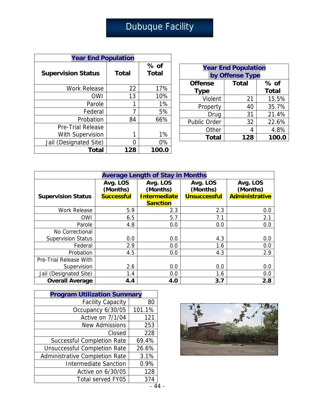# Dubuque Facility

| <b>Year End Population</b> |       |                      |  |  |
|----------------------------|-------|----------------------|--|--|
| <b>Supervision Status</b>  | Total | % of<br><b>Total</b> |  |  |
| <b>Work Release</b>        | 22    | 17%                  |  |  |
| <b>OWI</b>                 | 13    | 10%                  |  |  |
| Parole                     |       | 1%                   |  |  |
| Federal                    | 7     | 5%                   |  |  |
| Probation                  | 84    | 66%                  |  |  |
| <b>Pre-Trial Release</b>   |       |                      |  |  |
| <b>With Supervision</b>    | 1     | $1\%$                |  |  |
| Jail (Designated Site)     | 0     | 0%                   |  |  |
| Total                      | 128   | 100.0                |  |  |

| <b>Year End Population</b><br>by Offense Type |              |        |  |  |
|-----------------------------------------------|--------------|--------|--|--|
| <b>Offense</b>                                | <b>Total</b> | $%$ of |  |  |
| <b>Total</b><br><b>Type</b>                   |              |        |  |  |
| Violent                                       | 21           | 15.5%  |  |  |
| Property                                      | 40           | 35.7%  |  |  |
| Drug                                          | 31           | 21.4%  |  |  |
| <b>Public Order</b>                           | 32           | 22.6%  |  |  |
| Other                                         | Δ            | 4.8%   |  |  |
| 100.0<br><b>Total</b><br>128                  |              |        |  |  |

| <b>Average Length of Stay in Months</b> |                      |                      |                      |                       |  |
|-----------------------------------------|----------------------|----------------------|----------------------|-----------------------|--|
|                                         | Avg. LOS<br>(Months) | Avg. LOS<br>(Months) | Avg. LOS<br>(Months) | Avg. LOS<br>(Months)  |  |
| <b>Supervision Status</b>               | <b>Successful</b>    | <b>Intermediate</b>  | <b>Unsuccessful</b>  | <b>Administrative</b> |  |
|                                         |                      | <b>Sanction</b>      |                      |                       |  |
| <b>Work Release</b>                     | 5.9                  | 2.3                  | 2.3                  | 0.0                   |  |
| <b>OWI</b>                              | 6.5                  | 5.7                  | 7.1                  | 2.1                   |  |
| Parole                                  | 4.8                  | 0.0                  | 0.0                  | 0.0                   |  |
| No Correctional                         |                      |                      |                      |                       |  |
| <b>Supervision Status</b>               | 0.0                  | 0.0                  | 4.3                  | 0.0                   |  |
| Federal                                 | 2.9                  | 0.0                  | 1.6                  | 0.0                   |  |
| Probation                               | 4.5                  | 0.0                  | 4.3                  | 2.9                   |  |
| Pre-Trial Release With                  |                      |                      |                      |                       |  |
| Supervision                             | 2.6                  | 0.0                  | 0.0                  | 0.0                   |  |
| Jail (Designated Site)                  | 1.4                  | 0.0                  | 1.6                  | 0.0                   |  |
| <b>Overall Average</b>                  | 4.4                  | 4.0                  | 3.7                  | 2.8                   |  |

| <b>Program Utilization Summary</b>    |        |  |  |
|---------------------------------------|--------|--|--|
| <b>Facility Capacity</b>              | 80     |  |  |
| Occupancy 6/30/05                     | 101.1% |  |  |
| Active on 7/1/04                      | 121    |  |  |
| <b>New Admissions</b>                 | 253    |  |  |
| Closed                                | 228    |  |  |
| <b>Successful Completion Rate</b>     | 69.4%  |  |  |
| <b>Unsuccessful Completion Rate</b>   | 26.6%  |  |  |
| <b>Administrative Completion Rate</b> | 3.1%   |  |  |
| <b>Intermediate Sanction</b>          | 0.9%   |  |  |
| Active on 6/30/05                     | 128    |  |  |
| <b>Total served FY05</b>              | 374    |  |  |



 $-44$  -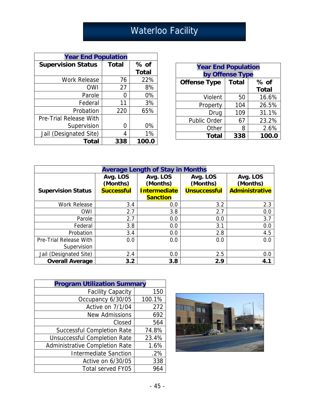# Waterloo Facility

| <b>Year End Population</b>    |              |              |  |  |
|-------------------------------|--------------|--------------|--|--|
| <b>Supervision Status</b>     | <b>Total</b> | $%$ of       |  |  |
|                               |              | <b>Total</b> |  |  |
| <b>Work Release</b>           | 76           | 22%          |  |  |
| OWI                           | 27           | 8%           |  |  |
| Parole                        | O            | 0%           |  |  |
| Federal                       | 11           | 3%           |  |  |
| Probation                     | 220          | 65%          |  |  |
| <b>Pre-Trial Release With</b> |              |              |  |  |
| Supervision                   | ი            | 0%           |  |  |
| Jail (Designated Site)        | 4            | 1%           |  |  |
| Total                         | 338          | 100.0        |  |  |

| <b>Year End Population</b><br>by Offense Type |     |              |  |  |
|-----------------------------------------------|-----|--------------|--|--|
| <b>Total</b><br><b>Offense Type</b><br>% of   |     |              |  |  |
|                                               |     | <b>Total</b> |  |  |
| Violent                                       | 50  | 16.6%        |  |  |
| Property                                      | 104 | 26.5%        |  |  |
| Drug                                          | 109 | 31.1%        |  |  |
| <b>Public Order</b>                           | 67  | 23.2%        |  |  |
| Other                                         | 8   | 2.6%         |  |  |
| <b>Total</b>                                  | 338 | 100.0        |  |  |

| <b>Average Length of Stay in Months</b> |                      |                      |                      |                      |  |
|-----------------------------------------|----------------------|----------------------|----------------------|----------------------|--|
|                                         | Avg. LOS<br>(Months) | Avg. LOS<br>(Months) | Avg. LOS<br>(Months) | Avg. LOS<br>(Months) |  |
| <b>Supervision Status</b>               | <b>Successful</b>    | Intermediate         | <b>Unsuccessful</b>  | Administrative       |  |
|                                         |                      | <b>Sanction</b>      |                      |                      |  |
| <b>Work Release</b>                     | 3.4                  | 0.0                  | 3.2                  | 2.3                  |  |
| <b>OWI</b>                              | 2.7                  | 3.8                  | 2.7                  | 0.0                  |  |
| Parole                                  | 2.7                  | 0.0                  | 0.0                  | 3.7                  |  |
| Federal                                 | 3.8                  | 0.0                  | 3.1                  | 0.0                  |  |
| Probation                               | 3.4                  | 0.0                  | 2.8                  | 4.5                  |  |
| Pre-Trial Release With                  | 0.0                  | 0.0                  | 0.0                  | 0.0                  |  |
| Supervision                             |                      |                      |                      |                      |  |
| Jail (Designated Site)                  | 2.4                  | 0.0                  | 2.5                  | 0.0                  |  |
| <b>Overall Average</b>                  | 3.2                  | 3.8                  | 2.9                  | 4.1                  |  |

| <b>Program Utilization Summary</b>  |        |  |  |
|-------------------------------------|--------|--|--|
| <b>Facility Capacity</b>            | 150    |  |  |
| Occupancy 6/30/05                   | 100.1% |  |  |
| Active on 7/1/04                    | 272    |  |  |
| <b>New Admissions</b>               | 692    |  |  |
| Closed                              | 564    |  |  |
| <b>Successful Completion Rate</b>   | 74.8%  |  |  |
| <b>Unsuccessful Completion Rate</b> | 23.4%  |  |  |
| Administrative Completion Rate      | 1.6%   |  |  |
| <b>Intermediate Sanction</b>        | .2%    |  |  |
| Active on 6/30/05                   | 338    |  |  |
| <b>Total served FY05</b>            | 964    |  |  |

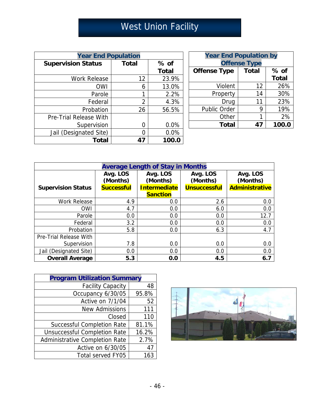# West Union Facility

| <b>Year End Population</b> |              |              |  |  |
|----------------------------|--------------|--------------|--|--|
| <b>Supervision Status</b>  | <b>Total</b> | $%$ of       |  |  |
|                            |              | <b>Total</b> |  |  |
| <b>Work Release</b>        | 12           | 23.9%        |  |  |
| <b>OWI</b>                 | 6            | 13.0%        |  |  |
| Parole                     |              | 2.2%         |  |  |
| Federal                    | 2            | 4.3%         |  |  |
| Probation                  | 26           | 56.5%        |  |  |
| Pre-Trial Release With     |              |              |  |  |
| Supervision                | O            | 0.0%         |  |  |
| Jail (Designated Site)     |              | 0.0%         |  |  |
| <b>Total</b>               | 47           | 100.0        |  |  |

| <b>Year End Population by</b><br><b>Offense Type</b> |    |              |  |  |  |
|------------------------------------------------------|----|--------------|--|--|--|
| <b>Offense Type</b><br><b>Total</b><br>$%$ of        |    |              |  |  |  |
|                                                      |    | <b>Total</b> |  |  |  |
| Violent                                              | 12 | 26%          |  |  |  |
| Property                                             | 14 | 30%          |  |  |  |
| Drug                                                 | 11 | 23%          |  |  |  |
| <b>Public Order</b>                                  | 9  | 19%          |  |  |  |
| Other                                                | 1  | 2%           |  |  |  |
| <b>Total</b>                                         | 47 | 100.0        |  |  |  |

| <b>Average Length of Stay in Months</b> |                      |                      |                      |                       |  |
|-----------------------------------------|----------------------|----------------------|----------------------|-----------------------|--|
|                                         | Avg. LOS<br>(Months) | Avg. LOS<br>(Months) | Avg. LOS<br>(Months) | Avg. LOS<br>(Months)  |  |
| <b>Supervision Status</b>               | <b>Successful</b>    | <b>Intermediate</b>  | <b>Unsuccessful</b>  | <b>Administrative</b> |  |
|                                         |                      | <b>Sanction</b>      |                      |                       |  |
| <b>Work Release</b>                     | 4.9                  | 0.0                  | 2.6                  | 0.0                   |  |
| <b>OWI</b>                              | 4.7                  | 0.0                  | 6.0                  | 0.0                   |  |
| Parole                                  | 0.0                  | 0.0                  | 0.0                  | 12.7                  |  |
| Federal                                 | 3.2                  | 0.0                  | 0.0                  | 0.0                   |  |
| Probation                               | 5.8                  | 0.0                  | 6.3                  | 4.7                   |  |
| Pre-Trial Release With                  |                      |                      |                      |                       |  |
| Supervision                             | 7.8                  | 0.0                  | 0.0                  | 0.0                   |  |
| Jail (Designated Site)                  | 0.0                  | 0.0                  | 0.0                  | 0.0                   |  |
| <b>Overall Average</b>                  | 5.3                  | 0.0                  | 4.5                  | 6.7                   |  |

| <b>Program Utilization Summary</b>    |       |
|---------------------------------------|-------|
| <b>Facility Capacity</b>              | 48    |
| Occupancy 6/30/05                     | 95.8% |
| Active on 7/1/04                      | 52    |
| <b>New Admissions</b>                 | 111   |
| Closed                                | 110   |
| <b>Successful Completion Rate</b>     | 81.1% |
| <b>Unsuccessful Completion Rate</b>   | 16.2% |
| <b>Administrative Completion Rate</b> | 2.7%  |
| Active on 6/30/05                     | 47    |
| <b>Total served FY05</b>              | 163   |

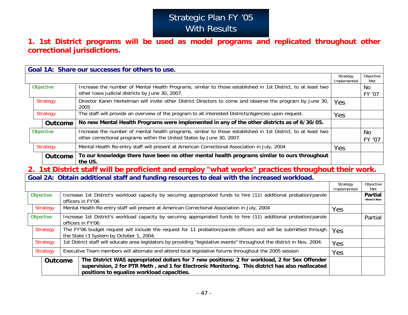# Strategic Plan FY '05 With Results

### **1. 1st District programs will be used as model programs and replicated throughout other correctional jurisdictions.**

|                 |                                                                                                                          |  | Goal 1A: Share our successes for others to use.                                                                                                                                                                                                 |                         |                                |
|-----------------|--------------------------------------------------------------------------------------------------------------------------|--|-------------------------------------------------------------------------------------------------------------------------------------------------------------------------------------------------------------------------------------------------|-------------------------|--------------------------------|
|                 |                                                                                                                          |  |                                                                                                                                                                                                                                                 | Strategy<br>Implemented | Objective<br>Met               |
|                 | Objective                                                                                                                |  | Increase the number of Mental Health Programs, similar to those established in 1st District, to at least two<br>other Iowa judicial districts by June 30, 2007.                                                                                 |                         | <b>No</b><br>FY '07            |
|                 | Strategy<br><b>Strategy</b><br><b>Outcome</b>                                                                            |  | Director Karen Herkelman will invite other District Directors to come and observe the program by June 30,<br>2005                                                                                                                               | Yes                     |                                |
|                 |                                                                                                                          |  | The staff will provide an overview of the program to all interested Districts/Agencies upon request.                                                                                                                                            | Yes                     |                                |
|                 |                                                                                                                          |  | No new Mental Health Programs were implemented in any of the other districts as of 6/30/05.                                                                                                                                                     |                         |                                |
|                 | Objective                                                                                                                |  | Increase the number of mental health programs, similar to those established in 1st District, to at least two<br>other correctional programs within the United States by June 30, 2007.                                                          |                         | <b>No</b><br>FY '07            |
| <b>Strategy</b> |                                                                                                                          |  | Mental Health Re-entry staff will present at American Correctional Association in July, 2004                                                                                                                                                    | <b>Yes</b>              |                                |
|                 | To our knowledge there have been no other mental health programs similar to ours throughout<br><b>Outcome</b><br>the US. |  |                                                                                                                                                                                                                                                 |                         |                                |
|                 |                                                                                                                          |  | 1st District staff will be proficient and employ "what works" practices throughout their work.                                                                                                                                                  |                         |                                |
|                 |                                                                                                                          |  | Goal 2A: Obtain additional staff and funding resources to deal with the increased workload.                                                                                                                                                     |                         |                                |
|                 |                                                                                                                          |  |                                                                                                                                                                                                                                                 | Strategy<br>Implemented | Objective<br>Met               |
|                 | Objective                                                                                                                |  | Increase 1st District's workload capacity by securing appropriated funds to hire (11) additional probation/parole<br>officers in FY'06                                                                                                          |                         | <b>Partial</b><br>-Hired 4 New |
|                 | <b>Strategy</b>                                                                                                          |  | Mental Health Re-entry staff will present at American Correctional Association in July, 2004                                                                                                                                                    | Yes                     |                                |
|                 | Objective                                                                                                                |  | Increase 1st District's workload capacity by securing appropriated funds to hire (11) additional probation/parole<br>officers in FY'06                                                                                                          |                         | Partial                        |
|                 | <b>Strategy</b>                                                                                                          |  | The FY'06 budget request will include the request for 11 probation/parole officers and will be submitted through<br>the State 13 System by October 1, 2004.                                                                                     | Yes                     |                                |
|                 | <b>Strategy</b>                                                                                                          |  | 1st District staff will educate area legislators by providing "legislative events" throughout the district in Nov. 2004.                                                                                                                        | Yes                     |                                |
| <b>Strategy</b> |                                                                                                                          |  | Executive Team members will alternate and attend local legislative forums throughout the 2005 session                                                                                                                                           | Yes                     |                                |
|                 | <b>Outcome</b>                                                                                                           |  | The District WAS appropriated dollars for 7 new positions: 2 for workload, 2 for Sex Offender<br>supervision, 2 for PTR Meth, and 1 for Electronic Monitoring. This district has also reallocated<br>positions to equalize workload capacities. |                         |                                |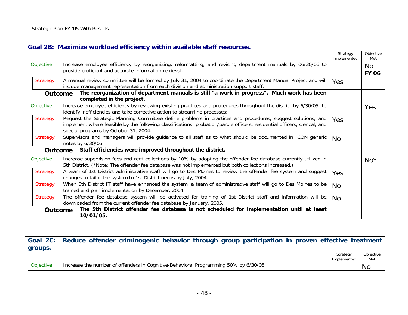|                 | Goal 2B: Maximize workload efficiency within available staff resources.                                                                                                                                                                                                            |                         |                    |  |  |  |  |
|-----------------|------------------------------------------------------------------------------------------------------------------------------------------------------------------------------------------------------------------------------------------------------------------------------------|-------------------------|--------------------|--|--|--|--|
|                 |                                                                                                                                                                                                                                                                                    | Strategy<br>Implemented | Objective<br>Met   |  |  |  |  |
| Objective       | Increase employee efficiency by reorganizing, reformatting, and revising department manuals by 06/30/06 to<br>provide proficient and accurate information retrieval.                                                                                                               |                         | No<br><b>FY 06</b> |  |  |  |  |
| <b>Strategy</b> | A manual review committee will be formed by July 31, 2004 to coordinate the Department Manual Project and will<br>include management representation from each division and administration support staff.                                                                           | <b>Yes</b>              |                    |  |  |  |  |
|                 | The reorganization of department manuals is still "a work in progress". Much work has been<br><b>Outcome</b><br>completed in the project.                                                                                                                                          |                         |                    |  |  |  |  |
| Objective       | Increase employee efficiency by reviewing existing practices and procedures throughout the district by 6/30/05 to<br>identify inefficiencies and take corrective action to streamline processes:                                                                                   |                         | Yes                |  |  |  |  |
| <b>Strategy</b> | Request the Strategic Planning Committee define problems in practices and procedures, suggest solutions, and<br>implement where feasible by the following classifications: probation/parole officers, residential officers, clerical, and<br>special programs by October 31, 2004. |                         |                    |  |  |  |  |
| <b>Strategy</b> | Supervisors and managers will provide guidance to all staff as to what should be documented in ICON generic<br>notes by 6/30/05                                                                                                                                                    | No.                     |                    |  |  |  |  |
|                 | Staff efficiencies were improved throughout the district.<br><b>Outcome</b>                                                                                                                                                                                                        |                         |                    |  |  |  |  |
| Objective       | Increase supervision fees and rent collections by 10% by adopting the offender fee database currently utilized in<br>5th District. (*Note: The offender fee database was not implemented but both collections increased.)                                                          |                         | $No^*$             |  |  |  |  |
| <b>Strategy</b> | A team of 1st District administrative staff will go to Des Moines to review the offender fee system and suggest<br>changes to tailor the system to 1st District needs by July, 2004.                                                                                               | Yes                     |                    |  |  |  |  |
| <b>Strategy</b> | When 5th District IT staff have enhanced the system, a team of administrative staff will go to Des Moines to be<br>trained and plan implementation by December, 2004.                                                                                                              | No.                     |                    |  |  |  |  |
| <b>Strategy</b> | The offender fee database system will be activated for training of 1st District staff and information will be<br>downloaded from the current offender fee database by January, 2005.                                                                                               | <b>No</b>               |                    |  |  |  |  |
|                 | The 5th District offender fee database is not scheduled for implementation until at least<br><b>Outcome</b><br>10/01/05.                                                                                                                                                           |                         |                    |  |  |  |  |

| groups.   | Goal 2C: Reduce offender criminogenic behavior through group participation in proven effective treatment |                         |                  |
|-----------|----------------------------------------------------------------------------------------------------------|-------------------------|------------------|
|           |                                                                                                          | Strategy<br>Implemented | Objective<br>Met |
| Objective | Increase the number of offenders in Cognitive-Behavioral Programming 50% by 6/30/05.                     |                         | No               |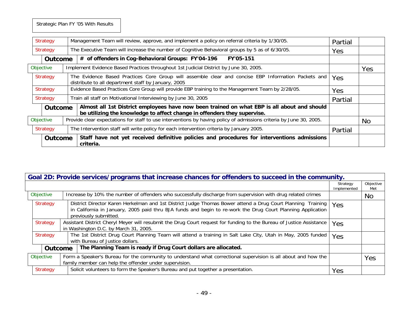Strategic Plan FY '05 With Results

|           | Strategy        |  | Management Team will review, approve, and implement a policy on referral criteria by 1/30/05.                                                                           | Partial    |           |
|-----------|-----------------|--|-------------------------------------------------------------------------------------------------------------------------------------------------------------------------|------------|-----------|
|           | Strategy        |  | The Executive Team will increase the number of Cognitive Behavioral groups by 5 as of 6/30/05.                                                                          | Yes        |           |
|           | <b>Outcome</b>  |  | # of offenders in Cog-Behavioral Groups: FY'04-196<br>FY'05-151                                                                                                         |            |           |
| Objective |                 |  | Implement Evidence Based Practices throughout 1st Judicial District by June 30, 2005.                                                                                   |            | Yes       |
| Strategy  |                 |  | The Evidence Based Practices Core Group will assemble clear and concise EBP Information Packets and<br>distribute to all department staff by January, 2005              | Yes        |           |
|           | <b>Strategy</b> |  | Evidence Based Practices Core Group will provide EBP training to the Management Team by 2/28/05.                                                                        | <b>Yes</b> |           |
|           | Strategy        |  | Train all staff on Motivational Interviewing by June 30, 2005                                                                                                           | Partial    |           |
|           | <b>Outcome</b>  |  | Almost all 1st District employees have now been trained on what EBP is all about and should<br>be utilizing the knowledge to affect change in offenders they supervise. |            |           |
|           | Objective       |  | Provide clear expectations for staff to use interventions by having policy of admissions criteria by June 30, 2005.                                                     |            | <b>No</b> |
|           | Strategy        |  | The Intervention staff will write policy for each intervention criteria by January 2005.                                                                                | Partial    |           |
|           | <b>Outcome</b>  |  | Staff have not yet received definitive policies and procedures for interventions admissions<br>criteria.                                                                |            |           |

|                 | Goal 2D: Provide services/programs that increase chances for offenders to succeed in the community. |                                                                                                                                                        |                                                                                                                                                                                                                                                     |                         |                  |  |  |  |
|-----------------|-----------------------------------------------------------------------------------------------------|--------------------------------------------------------------------------------------------------------------------------------------------------------|-----------------------------------------------------------------------------------------------------------------------------------------------------------------------------------------------------------------------------------------------------|-------------------------|------------------|--|--|--|
|                 |                                                                                                     |                                                                                                                                                        |                                                                                                                                                                                                                                                     | Strategy<br>Implemented | Objective<br>Met |  |  |  |
|                 | Objective                                                                                           |                                                                                                                                                        | Increase by 10% the number of offenders who successfully discharge from supervision with drug related crimes                                                                                                                                        |                         | No.              |  |  |  |
|                 | <b>Strategy</b>                                                                                     |                                                                                                                                                        | District Director Karen Herkelman and 1st District Judge Thomas Bower attend a Drug Court Planning Training<br>in California in January, 2005 paid thru BJA funds and begin to re-work the Drug Court Planning Application<br>previously submitted. | <b>Yes</b>              |                  |  |  |  |
|                 | Strategy                                                                                            |                                                                                                                                                        | Assistant District Cheryl Meyer will resubmit the Drug Court request for funding to the Bureau of Justice Assistance<br>in Washington D.C. by March 31, 2005.                                                                                       | Yes                     |                  |  |  |  |
| <b>Strategy</b> |                                                                                                     | The 1st District Drug Court Planning Team will attend a training in Salt Lake City, Utah in May, 2005 funded<br>Yes<br>with Bureau of Justice dollars. |                                                                                                                                                                                                                                                     |                         |                  |  |  |  |
|                 | <b>Outcome</b>                                                                                      |                                                                                                                                                        | The Planning Team is ready if Drug Court dollars are allocated.                                                                                                                                                                                     |                         |                  |  |  |  |
|                 | Objective                                                                                           |                                                                                                                                                        | Form a Speaker's Bureau for the community to understand what correctional supervision is all about and how the<br>family member can help the offender under supervision.                                                                            |                         | Yes              |  |  |  |
|                 | Solicit volunteers to form the Speaker's Bureau and put together a presentation.<br>Strategy        |                                                                                                                                                        | Yes                                                                                                                                                                                                                                                 |                         |                  |  |  |  |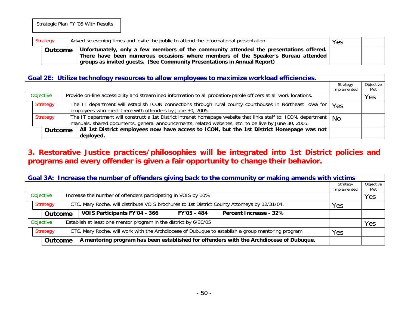| Strategy |         | Advertise evening times and invite the public to attend the informational presentation. |                                                                                                                                                                                                                                                             | Yes |  |
|----------|---------|-----------------------------------------------------------------------------------------|-------------------------------------------------------------------------------------------------------------------------------------------------------------------------------------------------------------------------------------------------------------|-----|--|
|          | Outcome |                                                                                         | Unfortunately, only a few members of the community attended the presentations offered. $ $<br>There have been numerous occasions where members of the Speaker's Bureau attended<br>groups as invited guests. (See Community Presentations in Annual Report) |     |  |

| Goal 2E: Utilize technology resources to allow employees to maximize workload efficiencies. |                                                                                                                                                                                                                          |                         |                  |  |  |  |  |  |
|---------------------------------------------------------------------------------------------|--------------------------------------------------------------------------------------------------------------------------------------------------------------------------------------------------------------------------|-------------------------|------------------|--|--|--|--|--|
|                                                                                             |                                                                                                                                                                                                                          | Strategy<br>Implemented | Objective<br>Met |  |  |  |  |  |
| Objective                                                                                   | Provide on-line accessibility and streamlined information to all probation/parole officers at all work locations.                                                                                                        |                         | Yes              |  |  |  |  |  |
| Strategy                                                                                    | The IT department will establish ICON connections through rural county courthouses in Northeast Iowa for<br>employees who meet there with offenders by June 30, 2005.                                                    | Yes                     |                  |  |  |  |  |  |
| <b>Strategy</b>                                                                             | The IT department will construct a 1st District intranet homepage website that links staff to: ICON, department<br>manuals, shared documents, general announcements, related websites, etc. to be live by June 30, 2005. | No                      |                  |  |  |  |  |  |
| <b>Outcome</b>                                                                              | All 1st District employees now have access to ICON, but the 1st District Homepage was not<br>deployed.                                                                                                                   |                         |                  |  |  |  |  |  |

### **3. Restorative Justice practices/philosophies will be integrated into 1st District policies and programs and every offender is given a fair opportunity to change their behavior.**

|                 | Goal 3A: Increase the number of offenders giving back to the community or making amends with victims |  |                                                                                                   |                         |                  |  |  |  |  |  |
|-----------------|------------------------------------------------------------------------------------------------------|--|---------------------------------------------------------------------------------------------------|-------------------------|------------------|--|--|--|--|--|
|                 |                                                                                                      |  |                                                                                                   | Strategy<br>Implemented | Objective<br>Met |  |  |  |  |  |
| Objective       |                                                                                                      |  | Increase the number of offenders participating in VOIS by 10%                                     |                         | Yes              |  |  |  |  |  |
| <b>Strategy</b> |                                                                                                      |  | CTC, Mary Roche, will distribute VOIS brochures to 1st District County Attorneys by 12/31/04.     | Yes                     |                  |  |  |  |  |  |
|                 | <b>Outcome</b>                                                                                       |  | VOIS Participants FY'04 - 366<br>Percent Increase - 32%<br>FY'05 - 484                            |                         |                  |  |  |  |  |  |
| Objective       |                                                                                                      |  | Establish at least one mentor program in the district by 6/30/05                                  |                         | Yes              |  |  |  |  |  |
| Strategy        |                                                                                                      |  | CTC, Mary Roche, will work with the Archdiocese of Dubuque to establish a group mentoring program | Yes                     |                  |  |  |  |  |  |
| <b>Outcome</b>  |                                                                                                      |  | A mentoring program has been established for offenders with the Archdiocese of Dubuque.           |                         |                  |  |  |  |  |  |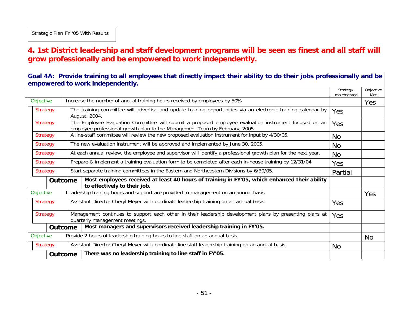### **4. 1st District leadership and staff development programs will be seen as finest and all staff will grow professionally and be empowered to work independently.**

**Goal 4A: Provide training to all employees that directly impact their ability to do their jobs professionally and be empowered to work independently.** 

|                                    |                 |                |                                                                                                                |                                                                                                                                                                                     | Strategy<br>Implemented | Objective<br>Met |
|------------------------------------|-----------------|----------------|----------------------------------------------------------------------------------------------------------------|-------------------------------------------------------------------------------------------------------------------------------------------------------------------------------------|-------------------------|------------------|
|                                    | Objective       |                |                                                                                                                | Increase the number of annual training hours received by employees by 50%                                                                                                           |                         | Yes              |
| <b>Strategy</b>                    |                 |                |                                                                                                                | The training committee will advertise and update training opportunities via an electronic training calendar by<br>August, 2004.                                                     | Yes                     |                  |
| <b>Strategy</b><br><b>Strategy</b> |                 |                |                                                                                                                | The Employee Evaluation Committee will submit a proposed employee evaluation instrument focused on an<br>employee professional growth plan to the Management Team by February, 2005 | Yes                     |                  |
|                                    |                 |                |                                                                                                                | A line-staff committee will review the new proposed evaluation instrument for input by 4/30/05.                                                                                     | No.                     |                  |
| <b>Strategy</b>                    |                 |                |                                                                                                                | The new evaluation instrument will be approved and implemented by June 30, 2005.                                                                                                    | No.                     |                  |
|                                    | <b>Strategy</b> |                | At each annual review, the employee and supervisor will identify a professional growth plan for the next year. | <b>No</b>                                                                                                                                                                           |                         |                  |
| <b>Strategy</b>                    |                 |                |                                                                                                                | Prepare & implement a training evaluation form to be completed after each in-house training by 12/31/04                                                                             | Yes                     |                  |
|                                    | <b>Strategy</b> |                |                                                                                                                | Start separate training committees in the Eastern and Northeastern Divisions by 6/30/05.                                                                                            | Partial                 |                  |
|                                    |                 | <b>Outcome</b> |                                                                                                                | Most employees received at least 40 hours of training in FY'05, which enhanced their ability<br>to effectively to their job.                                                        |                         |                  |
|                                    | Objective       |                |                                                                                                                | Leadership training hours and support are provided to management on an annual basis                                                                                                 |                         | Yes              |
|                                    | <b>Strategy</b> |                |                                                                                                                | Assistant Director Cheryl Meyer will coordinate leadership training on an annual basis.                                                                                             | Yes                     |                  |
|                                    | <b>Strategy</b> |                |                                                                                                                | Management continues to support each other in their leadership development plans by presenting plans at<br>quarterly management meetings.                                           | Yes                     |                  |
|                                    |                 | <b>Outcome</b> |                                                                                                                | Most managers and supervisors received leadership training in FY'05.                                                                                                                |                         |                  |
|                                    | Objective       |                |                                                                                                                | Provide 2 hours of leadership training hours to line staff on an annual basis.                                                                                                      |                         | No.              |
|                                    | <b>Strategy</b> |                |                                                                                                                | Assistant Director Cheryl Meyer will coordinate line staff leadership training on an annual basis.                                                                                  | No.                     |                  |
|                                    |                 | Outcome        |                                                                                                                | There was no leadership training to line staff in FY'05.                                                                                                                            |                         |                  |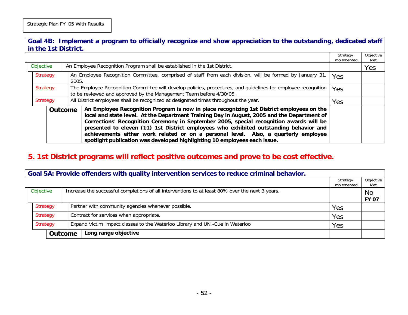**Goal 4B: Implement a program to officially recognize and show appreciation to the outstanding, dedicated staff in the 1st District.** 

|  |                      |  |                                                                                                                                                                                                                                                                                                         |                                                                                                                                                                                                                                                                                                                                                                                                                                                                                                                                                   | Strategy<br>Implemented | Objective<br>Met |
|--|----------------------|--|---------------------------------------------------------------------------------------------------------------------------------------------------------------------------------------------------------------------------------------------------------------------------------------------------------|---------------------------------------------------------------------------------------------------------------------------------------------------------------------------------------------------------------------------------------------------------------------------------------------------------------------------------------------------------------------------------------------------------------------------------------------------------------------------------------------------------------------------------------------------|-------------------------|------------------|
|  | Objective            |  |                                                                                                                                                                                                                                                                                                         | An Employee Recognition Program shall be established in the 1st District.                                                                                                                                                                                                                                                                                                                                                                                                                                                                         |                         | Yes              |
|  | Strategy<br>Strategy |  | An Employee Recognition Committee, comprised of staff from each division, will be formed by January 31,<br>2005.<br>The Employee Recognition Committee will develop policies, procedures, and guidelines for employee recognition<br>to be reviewed and approved by the Management Team before 4/30/05. |                                                                                                                                                                                                                                                                                                                                                                                                                                                                                                                                                   | Yes                     |                  |
|  |                      |  |                                                                                                                                                                                                                                                                                                         |                                                                                                                                                                                                                                                                                                                                                                                                                                                                                                                                                   | Yes                     |                  |
|  | Strategy             |  |                                                                                                                                                                                                                                                                                                         | All District employees shall be recognized at designated times throughout the year.                                                                                                                                                                                                                                                                                                                                                                                                                                                               | Yes                     |                  |
|  |                      |  | <b>Outcome</b>                                                                                                                                                                                                                                                                                          | An Employee Recognition Program is now in place recognizing 1st District employees on the<br>local and state level. At the Department Training Day in August, 2005 and the Department of<br>Corrections' Recognition Ceremony in September 2005, special recognition awards will be<br>presented to eleven (11) 1st District employees who exhibited outstanding behavior and<br>achievements either work related or on a personal level. Also, a quarterly employee<br>spotlight publication was developed highlighting 10 employees each issue. |                         |                  |

#### **5. 1st District programs will reflect positive outcomes and prove to be cost effective.**

|                      | Goal 5A: Provide offenders with quality intervention services to reduce criminal behavior. |                |                                                                                                 |                         |                           |  |  |  |  |  |
|----------------------|--------------------------------------------------------------------------------------------|----------------|-------------------------------------------------------------------------------------------------|-------------------------|---------------------------|--|--|--|--|--|
|                      |                                                                                            |                |                                                                                                 | Strategy<br>Implemented | Objective<br>Met          |  |  |  |  |  |
| Objective            |                                                                                            |                | Increase the successful completions of all interventions to at least 80% over the next 3 years. |                         | <b>No</b><br><b>FY 07</b> |  |  |  |  |  |
|                      | Strategy                                                                                   |                | Partner with community agencies whenever possible.                                              | Yes                     |                           |  |  |  |  |  |
| Strategy<br>Strategy |                                                                                            |                | Contract for services when appropriate.                                                         | Yes                     |                           |  |  |  |  |  |
|                      |                                                                                            |                | Expand Victim Impact classes to the Waterloo Library and UNI-Cue in Waterloo                    | Yes                     |                           |  |  |  |  |  |
|                      |                                                                                            | <b>Outcome</b> | Long range objective                                                                            |                         |                           |  |  |  |  |  |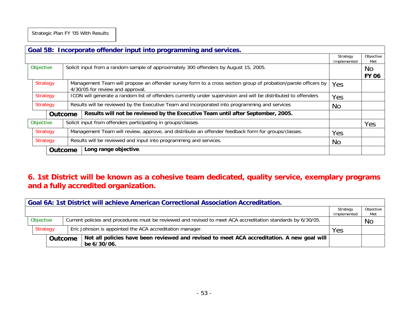Strategic Plan FY '05 With Results

|           |                 |                | Goal 5B: Incorporate offender input into programming and services.                                                                                |                         |                     |
|-----------|-----------------|----------------|---------------------------------------------------------------------------------------------------------------------------------------------------|-------------------------|---------------------|
|           |                 |                |                                                                                                                                                   | Strategy<br>Implemented | Objective<br>Met    |
| Objective |                 |                | Solicit input from a random sample of approximately 300 offenders by August 15, 2005.                                                             |                         | No.<br><b>FY 06</b> |
|           | Strategy        |                | Management Team will propose an offender survey form to a cross section group of probation/parole officers by<br>4/30/05 for review and approval. | Yes                     |                     |
|           | Strategy        |                | ICON will generate a random list of offenders currently under supervision and will be distributed to offenders                                    | Yes                     |                     |
|           | <b>Strategy</b> |                | Results will be reviewed by the Executive Team and incorporated into programming and services                                                     | <b>No</b>               |                     |
|           |                 | <b>Outcome</b> | Results will not be reviewed by the Executive Team until after September, 2005.                                                                   |                         |                     |
|           | Objective       |                | Solicit input from offenders participating in groups/classes.                                                                                     |                         | Yes                 |
|           | Strategy        |                | Management Team will review, approve, and distribute an offender feedback form for groups/classes.                                                | Yes                     |                     |
|           | <b>Strategy</b> |                | Results will be reviewed and input into programming and services.                                                                                 | <b>No</b>               |                     |
|           | <b>Outcome</b>  |                | Long range objective.                                                                                                                             |                         |                     |

### **6. 1st District will be known as a cohesive team dedicated, quality service, exemplary programs and a fully accredited organization.**

|           | <b>Goal 6A: 1st District will achieve American Correctional Association Accreditation.</b> |                |  |                                                                                                              |                         |                  |  |
|-----------|--------------------------------------------------------------------------------------------|----------------|--|--------------------------------------------------------------------------------------------------------------|-------------------------|------------------|--|
|           |                                                                                            |                |  |                                                                                                              | Strategy<br>Implemented | Objective<br>Met |  |
| Objective |                                                                                            |                |  | Current policies and procedures must be reviewed and revised to meet ACA accreditation standards by 6/30/05. |                         | <b>No</b>        |  |
|           | Strategy                                                                                   |                |  | Eric Johnson is appointed the ACA accreditation manager.                                                     | Yes                     |                  |  |
|           |                                                                                            | <b>Outcome</b> |  | Not all policies have been reviewed and revised to meet ACA accreditation. A new goal will<br>be 6/30/06.    |                         |                  |  |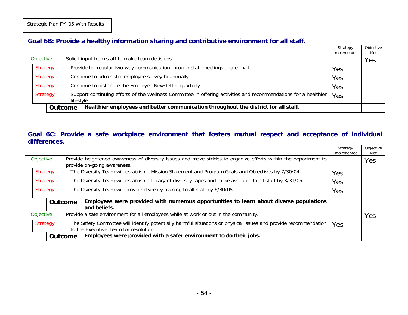|          | Goal 6B: Provide a healthy information sharing and contributive environment for all staff. |                                                               |            |                                                                                                                 |                         |                  |
|----------|--------------------------------------------------------------------------------------------|---------------------------------------------------------------|------------|-----------------------------------------------------------------------------------------------------------------|-------------------------|------------------|
|          |                                                                                            |                                                               |            |                                                                                                                 | Strategy<br>Implemented | Objective<br>Met |
|          |                                                                                            | Objective<br>Solicit input from staff to make team decisions. |            |                                                                                                                 |                         | Yes              |
|          | Strategy                                                                                   |                                                               |            | Provide for regular two-way communication through staff meetings and e-mail.                                    | Yes                     |                  |
| Strategy |                                                                                            |                                                               |            | Continue to administer employee survey bi-annually.                                                             | Yes                     |                  |
|          | <b>Strategy</b>                                                                            |                                                               |            | Continue to distribute the Employee Newsletter quarterly                                                        | Yes                     |                  |
| Strategy |                                                                                            |                                                               | lifestyle. | Support continuing efforts of the Wellness Committee in offering activities and recommendations for a healthier | Yes                     |                  |
|          | Outcome                                                                                    |                                                               |            | Healthier employees and better communication throughout the district for all staff.                             |                         |                  |

#### **Goal 6C: Provide a safe workplace environment that fosters mutual respect and acceptance of individual differences.**

|           |           |                                                                                                                      |  |                                                                                                                 | Strategy    | Objective |
|-----------|-----------|----------------------------------------------------------------------------------------------------------------------|--|-----------------------------------------------------------------------------------------------------------------|-------------|-----------|
|           |           |                                                                                                                      |  |                                                                                                                 | Implemented | Met       |
| Objective |           |                                                                                                                      |  | Provide heightened awareness of diversity issues and make strides to organize efforts within the department to  |             | Yes       |
|           |           |                                                                                                                      |  | provide on-going awareness.                                                                                     |             |           |
|           |           | The Diversity Team will establish a Mission Statement and Program Goals and Objectives by 7/30/04<br><b>Strategy</b> |  |                                                                                                                 | Yes         |           |
|           |           |                                                                                                                      |  |                                                                                                                 |             |           |
|           | Strategy  |                                                                                                                      |  | The Diversity Team will establish a library of diversity tapes and make available to all staff by 3/31/05.      | Yes         |           |
|           | Strategy  |                                                                                                                      |  | The Diversity Team will provide diversity training to all staff by 6/30/05.                                     | Yes         |           |
|           |           |                                                                                                                      |  |                                                                                                                 |             |           |
|           |           | <b>Outcome</b>                                                                                                       |  | Employees were provided with numerous opportunities to learn about diverse populations                          |             |           |
|           |           |                                                                                                                      |  | and beliefs.                                                                                                    |             |           |
|           | Objective |                                                                                                                      |  | Provide a safe environment for all employees while at work or out in the community.                             |             | Yes       |
|           |           |                                                                                                                      |  |                                                                                                                 |             |           |
|           | Strategy  |                                                                                                                      |  | The Safety Committee will identify potentially harmful situations or physical issues and provide recommendation | Yes         |           |
|           |           |                                                                                                                      |  | to the Executive Team for resolution.                                                                           |             |           |
|           |           | <b>Outcome</b>                                                                                                       |  | Employees were provided with a safer environment to do their jobs.                                              |             |           |
|           |           |                                                                                                                      |  |                                                                                                                 |             |           |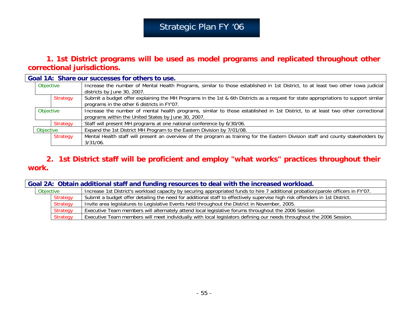# Strategic Plan FY '06

#### **1. 1st District programs will be used as model programs and replicated throughout other correctional jurisdictions.**

|           | Goal 1A: Share our successes for others to use.                                                                                                                                        |
|-----------|----------------------------------------------------------------------------------------------------------------------------------------------------------------------------------------|
| Objective | Increase the number of Mental Health Programs, similar to those established in 1st District, to at least two other Iowa judicial<br>districts by June 30, 2007.                        |
| Strategy  | Submit a budget offer explaining the MH Programs in the 1st & 6th Districts as a request for state appropriations to support similar<br>programs in the other 6 districts in FY'07.    |
| Objective | Increase the number of mental health programs, similar to those established in 1st District, to at least two other correctional<br>programs within the United States by June 30, 2007. |
| Strategy  | Staff will present MH programs at one national conference by 6/30/06.                                                                                                                  |
| Objective | Expand the 1st District MH Program to the Eastern Division by 7/01/08.                                                                                                                 |
| Strategy  | Mental Health staff will present an overview of the program as training for the Eastern Division staff and county stakeholders by<br>$3/31/06$ .                                       |

### **2. 1st District staff will be proficient and employ "what works" practices throughout their work.**

|           |                 | Goal 2A: Obtain additional staff and funding resources to deal with the increased workload.                                       |
|-----------|-----------------|-----------------------------------------------------------------------------------------------------------------------------------|
| Objective |                 | Increase 1st District's workload capacity by securing appropriated funds to hire 7 additional probation/parole officers in FY'07. |
|           | Strategy        | Submit a budget offer detailing the need for additional staff to effectively supervise high risk offenders in 1st District.       |
|           | <b>Strategy</b> | Invite area legislatures to Legislative Events held throughout the District in November, 2005.                                    |
|           | Strategy        | Executive Team members will alternately attend local legislative forums throughout the 2006 Session                               |
|           | Strategy        | Executive Team members will meet individually with local legislators defining our needs throughout the 2006 Session.              |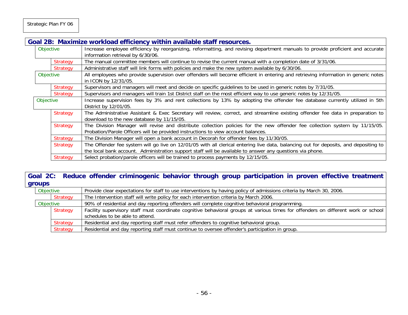|           |                 | Goal 2B: Maximize workload efficiency within available staff resources.                                                                                                                                          |
|-----------|-----------------|------------------------------------------------------------------------------------------------------------------------------------------------------------------------------------------------------------------|
|           | Objective       | Increase employee efficiency by reorganizing, reformatting, and revising department manuals to provide proficient and accurate<br>information retrieval by 6/30/06.                                              |
|           | <b>Strategy</b> | The manual committee members will continue to revise the current manual with a completion date of 3/31/06.                                                                                                       |
|           | <b>Strategy</b> | Administrative staff will link forms with policies and make the new system available by 6/30/06.                                                                                                                 |
|           | Objective       | All employees who provide supervision over offenders will become efficient in entering and retrieving information in generic notes<br>in ICON by 12/31/05.                                                       |
|           | <b>Strategy</b> | Supervisors and managers will meet and decide on specific guidelines to be used in generic notes by 7/31/05.                                                                                                     |
|           | <b>Strategy</b> | Supervisors and managers will train 1st District staff on the most efficient way to use generic notes by 12/31/05.                                                                                               |
| Objective |                 | Increase supervision fees by 3% and rent collections by 13% by adopting the offender fee database currently utilized in 5th<br>District by 12/01/05.                                                             |
|           | <b>Strategy</b> | The Administrative Assistant & Exec Secretary will review, correct, and streamline existing offender fee data in preparation to<br>download to the new database by 11/15/05.                                     |
|           | <b>Strategy</b> | The Division Manager will revise and distribute collection policies for the new offender fee collection system by 11/15/05.<br>Probation/Parole Officers will be provided instructions to view account balances. |
|           | <b>Strategy</b> | The Division Manager will open a bank account in Decorah for offender fees by 11/30/05.                                                                                                                          |
|           | <b>Strategy</b> | The Offender fee system will go live on 12/01/05 with all clerical entering live data, balancing out for deposits, and depositing to                                                                             |
|           |                 | the local bank account. Administration support staff will be available to answer any questions via phone.                                                                                                        |
|           | Strategy        | Select probation/parole officers will be trained to process payments by 12/15/05.                                                                                                                                |

#### **Goal 2C: Reduce offender criminogenic behavior through group participation in proven effective treatment groups**

| Objective |          | Provide clear expectations for staff to use interventions by having policy of admissions criteria by March 30, 2006.              |
|-----------|----------|-----------------------------------------------------------------------------------------------------------------------------------|
|           | Strategy | The Intervention staff will write policy for each intervention criteria by March 2006.                                            |
| Objective |          | 90% of residential and day reporting offenders will complete cognitive behavioral programming.                                    |
|           | Strategy | Facility supervisory staff must coordinate cognitive behavioral groups at various times for offenders on different work or school |
|           |          | schedules to be able to attend.                                                                                                   |
|           | Strategy | Residential and day reporting staff must refer offenders to cognitive behavioral group.                                           |
|           | Strategy | Residential and day reporting staff must continue to oversee offender's participation in group.                                   |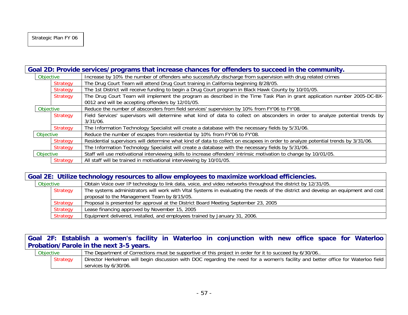|           | Goal 2D: Provide services/programs that increase chances for offenders to succeed in the community. |                                                                                                                                                                                |  |
|-----------|-----------------------------------------------------------------------------------------------------|--------------------------------------------------------------------------------------------------------------------------------------------------------------------------------|--|
| Objective |                                                                                                     | Increase by 10% the number of offenders who successfully discharge from supervision with drug related crimes                                                                   |  |
|           | <b>Strategy</b>                                                                                     | The Drug Court Team will attend Drug Court training in California beginning 8/28/05.                                                                                           |  |
|           | Strategy                                                                                            | The 1st District will receive funding to begin a Drug Court program in Black Hawk County by 10/01/05.                                                                          |  |
|           | Strategy                                                                                            | The Drug Court Team will implement the program as described in the Time Task Plan in grant application number 2005-DC-BX-<br>0012 and will be accepting offenders by 12/01/05. |  |
| Objective |                                                                                                     | Reduce the number of absconders from field services' supervision by 10% from FY'06 to FY'08.                                                                                   |  |
|           | Strategy                                                                                            | Field Services' supervisors will determine what kind of data to collect on absconders in order to analyze potential trends by<br>$3/31/06$ .                                   |  |
|           | Strategy                                                                                            | The Information Technology Specialist will create a database with the necessary fields by 5/31/06.                                                                             |  |
| Objective |                                                                                                     | Reduce the number of escapes from residential by 10% from FY'06 to FY'08.                                                                                                      |  |
|           | Strategy                                                                                            | Residential supervisors will determine what kind of data to collect on escapees in order to analyze potential trends by 3/31/06.                                               |  |
|           | Strategy                                                                                            | The Information Technology Specialist will create a database with the necessary fields by 5/31/06.                                                                             |  |
| Objective |                                                                                                     | Staff will use motivational interviewing skills to increase offenders' intrinsic motivation to change by 10/01/05.                                                             |  |
|           | Strategy                                                                                            | All staff will be trained in motivational interviewing by 10/01/05.                                                                                                            |  |

| Goal 2E: Utilize technology resources to allow employees to maximize workload efficiencies. |          |                                                                                                                                                                                  |  |  |
|---------------------------------------------------------------------------------------------|----------|----------------------------------------------------------------------------------------------------------------------------------------------------------------------------------|--|--|
| Objective                                                                                   |          | Obtain Voice over IP technology to link data, voice, and video networks throughout the district by 12/31/05.                                                                     |  |  |
|                                                                                             | Strategy | The systems administrators will work with Vital Systems in evaluating the needs of the district and develop an equipment and cost<br>proposal to the Management Team by 8/15/05. |  |  |
|                                                                                             | Strategy | Proposal is presented for approval at the District Board Meeting September 23, 2005                                                                                              |  |  |
|                                                                                             | Strategy | Lease financing approved by November 15, 2005                                                                                                                                    |  |  |
|                                                                                             | Strategy | Equipment delivered, installed, and employees trained by January 31, 2006.                                                                                                       |  |  |

**Goal 2F: Establish a women's facility in Waterloo in conjunction with new office space for Waterloo Probation/Parole in the next 3-5 years.**

| <b>Objective</b> |          | The Department of Corrections must be supportive of this project in order for it to succeed by 6/30/06.                          |
|------------------|----------|----------------------------------------------------------------------------------------------------------------------------------|
|                  | Strategy | Director Herkelman will begin discussion with DOC regarding the need for a women's facility and better office for Waterloo field |
|                  |          | services by 6/30/06.                                                                                                             |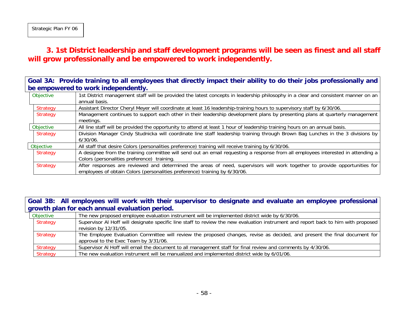### **3. 1st District leadership and staff development programs will be seen as finest and all staff will grow professionally and be empowered to work independently.**

**Goal 3A: Provide training to all employees that directly impact their ability to do their jobs professionally and be empowered to work independently.**

| Objective       | 1st District management staff will be provided the latest concepts in leadership philosophy in a clear and consistent manner on an |
|-----------------|------------------------------------------------------------------------------------------------------------------------------------|
|                 | annual basis.                                                                                                                      |
| Strategy        | Assistant Director Cheryl Meyer will coordinate at least 16 leadership-training hours to supervisory staff by 6/30/06.             |
| <b>Strategy</b> | Management continues to support each other in their leadership development plans by presenting plans at quarterly management       |
|                 | meetings.                                                                                                                          |
| Objective       | All line staff will be provided the opportunity to attend at least 1 hour of leadership training hours on an annual basis.         |
| Strategy        | Division Manager Cindy Studnicka will coordinate line staff leadership training through Brown Bag Lunches in the 3 divisions by    |
|                 | $6/30/06$ .                                                                                                                        |
| Objective       | All staff that desire Colors (personalities preference) training will receive training by 6/30/06.                                 |
| Strategy        | A designee from the training committee will send out an email requesting a response from all employees interested in attending a   |
|                 | Colors (personalities preference) training.                                                                                        |
| <b>Strategy</b> | After responses are reviewed and determined the areas of need, supervisors will work together to provide opportunities for         |
|                 | employees of obtain Colors (personalities preference) training by 6/30/06.                                                         |

**Goal 3B: All employees will work with their supervisor to designate and evaluate an employee professional growth plan for each annual evaluation period.**

| Objective | The new proposed employee evaluation instrument will be implemented district wide by 6/30/06.                                                                      |
|-----------|--------------------------------------------------------------------------------------------------------------------------------------------------------------------|
| Strategy  | Supervisor AI Hoff will designate specific line staff to review the new evaluation instrument and report back to him with proposed<br>revision by 12/31/05.        |
| Strategy  | The Employee Evaluation Committee will review the proposed changes, revise as decided, and present the final document for<br>approval to the Exec Team by 3/31/06. |
| Strategy  | Supervisor AI Hoff will email the document to all management staff for final review and comments by 4/30/06.                                                       |
| Strategy  | The new evaluation instrument will be manualized and implemented district wide by 6/01/06.                                                                         |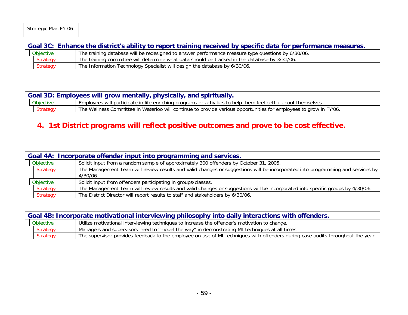Strategic Plan FY 06

| Goal 3C: Enhance the district's ability to report training received by specific data for performance measures. |                                                                                                   |  |  |
|----------------------------------------------------------------------------------------------------------------|---------------------------------------------------------------------------------------------------|--|--|
| Objective                                                                                                      | The training database will be redesigned to answer performance measure type questions by 6/30/06. |  |  |
| <b>Strategy</b>                                                                                                | The training committee will determine what data should be tracked in the database by 3/31/06.     |  |  |
| <b>Strategy</b>                                                                                                | The Information Technology Specialist will design the database by 6/30/06.                        |  |  |

| Goal 3D: Employees will grow mentally, physically, and spiritually. |                 |                                                                                                                   |
|---------------------------------------------------------------------|-----------------|-------------------------------------------------------------------------------------------------------------------|
|                                                                     | Objective       | Employees will participate in life enriching programs or activities to help them feel better about themselves.    |
|                                                                     | <b>Strategy</b> | The Wellness Committee in Waterloo will continue to provide various opportunities for employees to grow in FY'06. |

## **4. 1st District programs will reflect positive outcomes and prove to be cost effective.**

| Goal 4A: Incorporate offender input into programming and services. |  |                                                                                                                                |
|--------------------------------------------------------------------|--|--------------------------------------------------------------------------------------------------------------------------------|
| Objective                                                          |  | Solicit input from a random sample of approximately 300 offenders by October 31, 2005.                                         |
| Strategy                                                           |  | The Management Team will review results and valid changes or suggestions will be incorporated into programming and services by |
|                                                                    |  | 4/30/06.                                                                                                                       |
| Objective                                                          |  | Solicit input from offenders participating in groups/classes.                                                                  |
| Strategy                                                           |  | The Management Team will review results and valid changes or suggestions will be incorporated into specific groups by 4/30/06. |
| Strategy                                                           |  | The District Director will report results to staff and stakeholders by 6/30/06.                                                |

| Goal 4B: Incorporate motivational interviewing philosophy into daily interactions with offenders. |                 |                                                                                                                                 |
|---------------------------------------------------------------------------------------------------|-----------------|---------------------------------------------------------------------------------------------------------------------------------|
|                                                                                                   | Objective       | Utilize motivational interviewing techniques to increase the offender's motivation to change.                                   |
|                                                                                                   | <b>Strategy</b> | Managers and supervisors need to "model the way" in demonstrating MI techniques at all times.                                   |
|                                                                                                   | <b>Strategy</b> | The supervisor provides feedback to the employee on use of MI techniques with offenders during case audits throughout the year. |